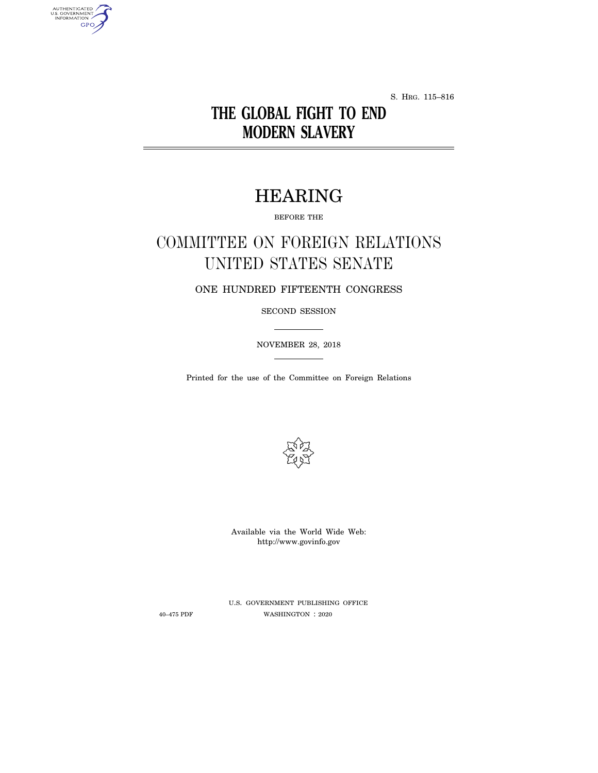S. HRG. 115–816

## **THE GLOBAL FIGHT TO END MODERN SLAVERY**

# HEARING

BEFORE THE

# COMMITTEE ON FOREIGN RELATIONS UNITED STATES SENATE

ONE HUNDRED FIFTEENTH CONGRESS

SECOND SESSION

NOVEMBER 28, 2018

Printed for the use of the Committee on Foreign Relations



Available via the World Wide Web: http://www.govinfo.gov

AUTHENTICATED<br>U.S. GOVERNMENT<br>INFORMATION GPO

> U.S. GOVERNMENT PUBLISHING OFFICE 40–475 PDF WASHINGTON : 2020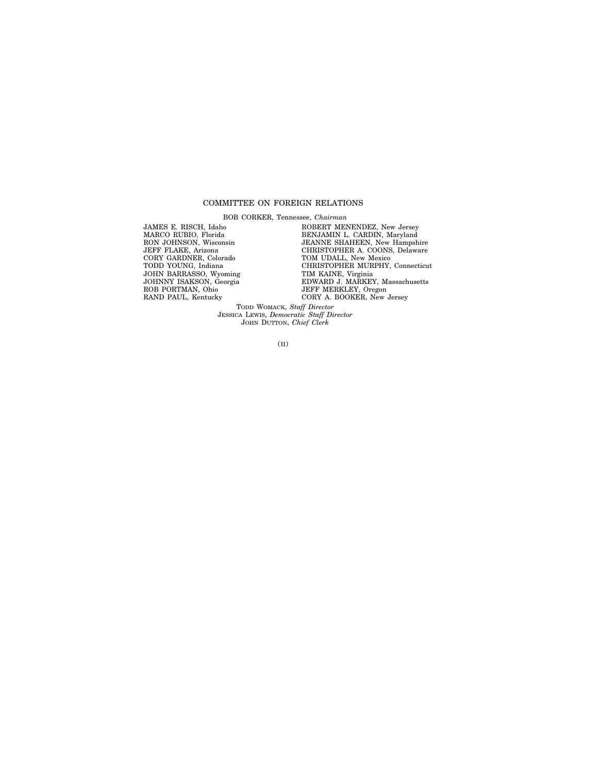## COMMITTEE ON FOREIGN RELATIONS

BOB CORKER, Tennessee, *Chairman*

JAMES E. RISCH, Idaho MARCO RUBIO, Florida RON JOHNSON, Wisconsin JEFF FLAKE, Arizona CORY GARDNER, Colorado TODD YOUNG, Indiana JOHN BARRASSO, Wyoming JOHNNY ISAKSON, Georgia ROB PORTMAN, Ohio RAND PAUL, Kentucky

ROBERT MENENDEZ, New Jersey BENJAMIN L. CARDIN, Maryland JEANNE SHAHEEN, New Hampshire CHRISTOPHER A. COONS, Delaware TOM UDALL, New Mexico CHRISTOPHER MURPHY, Connecticut TIM KAINE, Virginia EDWARD J. MARKEY, Massachusetts JEFF MERKLEY, Oregon CORY A. BOOKER, New Jersey

TODD WOMACK, *Staff Director* JESSICA LEWIS, *Democratic Staff Director* JOHN DUTTON, *Chief Clerk*

(II)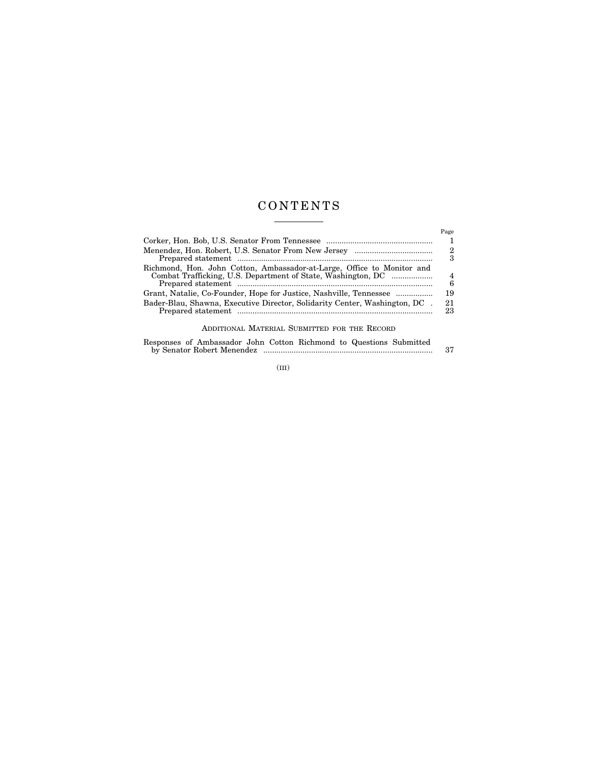## C O N T E N T S

 $\mathcal{L}^{\text{max}}$  , where  $\mathcal{L}^{\text{max}}$ 

|                                                                                                                                                  | Page<br>2<br>3 |
|--------------------------------------------------------------------------------------------------------------------------------------------------|----------------|
| Richmond, Hon. John Cotton, Ambassador-at-Large, Office to Monitor and<br>Combat Trafficking, U.S. Department of State, Washington, DC           | 4<br>6         |
| Grant, Natalie, Co-Founder, Hope for Justice, Nashville, Tennessee<br>Bader-Blau, Shawna, Executive Director, Solidarity Center, Washington, DC. | 19<br>21<br>23 |

## ADDITIONAL MATERIAL SUBMITTED FOR THE RECORD

Responses of Ambassador John Cotton Richmond to Questions Submitted by Senator Robert Menendez .............................................................................. 37

(III)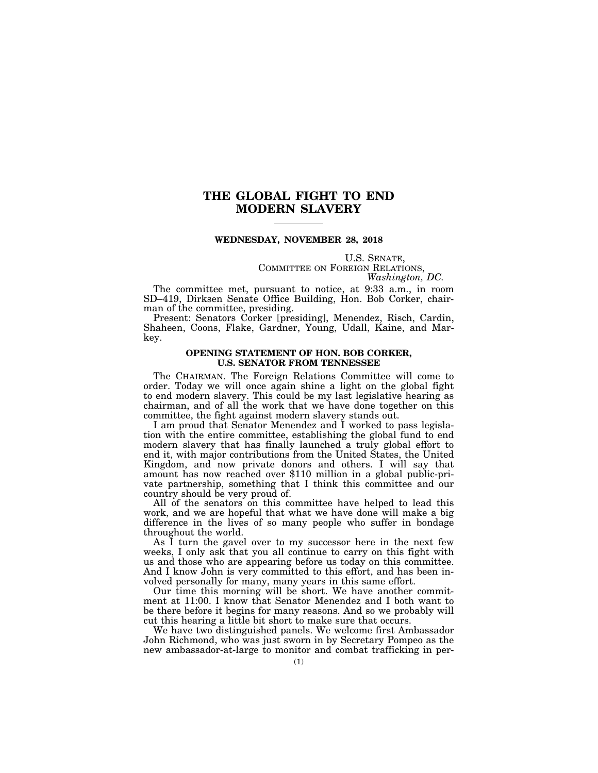## **THE GLOBAL FIGHT TO END MODERN SLAVERY**

## **WEDNESDAY, NOVEMBER 28, 2018**

U.S. SENATE,<br>COMMITTEE ON FOREIGN RELATIONS,<br>*Washington, DC.* 

The committee met, pursuant to notice, at 9:33 a.m., in room SD–419, Dirksen Senate Office Building, Hon. Bob Corker, chairman of the committee, presiding.

Present: Senators Corker [presiding], Menendez, Risch, Cardin, Shaheen, Coons, Flake, Gardner, Young, Udall, Kaine, and Markey.

## **OPENING STATEMENT OF HON. BOB CORKER, U.S. SENATOR FROM TENNESSEE**

The CHAIRMAN. The Foreign Relations Committee will come to order. Today we will once again shine a light on the global fight to end modern slavery. This could be my last legislative hearing as chairman, and of all the work that we have done together on this committee, the fight against modern slavery stands out.

I am proud that Senator Menendez and I worked to pass legislation with the entire committee, establishing the global fund to end modern slavery that has finally launched a truly global effort to end it, with major contributions from the United States, the United Kingdom, and now private donors and others. I will say that amount has now reached over \$110 million in a global public-private partnership, something that I think this committee and our country should be very proud of.

All of the senators on this committee have helped to lead this work, and we are hopeful that what we have done will make a big difference in the lives of so many people who suffer in bondage throughout the world.

As I turn the gavel over to my successor here in the next few weeks, I only ask that you all continue to carry on this fight with us and those who are appearing before us today on this committee. And I know John is very committed to this effort, and has been involved personally for many, many years in this same effort.

Our time this morning will be short. We have another commitment at 11:00. I know that Senator Menendez and I both want to be there before it begins for many reasons. And so we probably will cut this hearing a little bit short to make sure that occurs.

We have two distinguished panels. We welcome first Ambassador John Richmond, who was just sworn in by Secretary Pompeo as the new ambassador-at-large to monitor and combat trafficking in per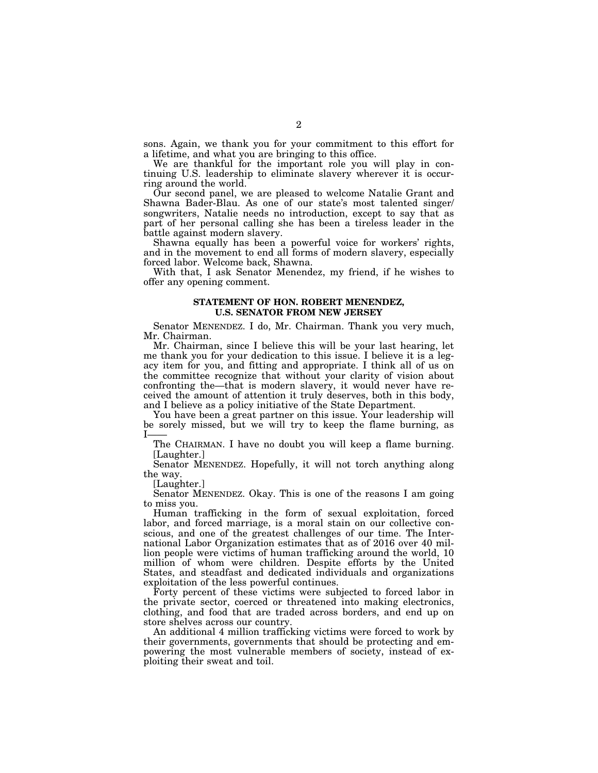sons. Again, we thank you for your commitment to this effort for a lifetime, and what you are bringing to this office.

We are thankful for the important role you will play in continuing U.S. leadership to eliminate slavery wherever it is occurring around the world.

Our second panel, we are pleased to welcome Natalie Grant and Shawna Bader-Blau. As one of our state's most talented singer/ songwriters, Natalie needs no introduction, except to say that as part of her personal calling she has been a tireless leader in the battle against modern slavery.

Shawna equally has been a powerful voice for workers' rights, and in the movement to end all forms of modern slavery, especially forced labor. Welcome back, Shawna.

With that, I ask Senator Menendez, my friend, if he wishes to offer any opening comment.

## **STATEMENT OF HON. ROBERT MENENDEZ, U.S. SENATOR FROM NEW JERSEY**

Senator MENENDEZ. I do, Mr. Chairman. Thank you very much, Mr. Chairman.

Mr. Chairman, since I believe this will be your last hearing, let me thank you for your dedication to this issue. I believe it is a legacy item for you, and fitting and appropriate. I think all of us on the committee recognize that without your clarity of vision about confronting the—that is modern slavery, it would never have received the amount of attention it truly deserves, both in this body, and I believe as a policy initiative of the State Department.

You have been a great partner on this issue. Your leadership will be sorely missed, but we will try to keep the flame burning, as  $\mathbf{L}$ 

The CHAIRMAN. I have no doubt you will keep a flame burning. [Laughter.]

Senator MENENDEZ. Hopefully, it will not torch anything along the way.

[Laughter.]

Senator MENENDEZ. Okay. This is one of the reasons I am going to miss you.

Human trafficking in the form of sexual exploitation, forced labor, and forced marriage, is a moral stain on our collective conscious, and one of the greatest challenges of our time. The International Labor Organization estimates that as of 2016 over 40 million people were victims of human trafficking around the world, 10 million of whom were children. Despite efforts by the United States, and steadfast and dedicated individuals and organizations exploitation of the less powerful continues.

Forty percent of these victims were subjected to forced labor in the private sector, coerced or threatened into making electronics, clothing, and food that are traded across borders, and end up on store shelves across our country.

An additional 4 million trafficking victims were forced to work by their governments, governments that should be protecting and empowering the most vulnerable members of society, instead of exploiting their sweat and toil.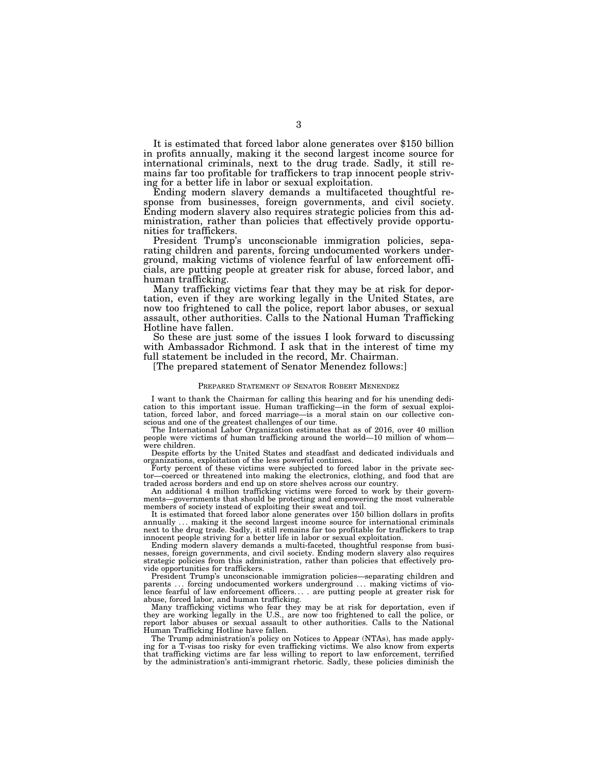It is estimated that forced labor alone generates over \$150 billion in profits annually, making it the second largest income source for international criminals, next to the drug trade. Sadly, it still remains far too profitable for traffickers to trap innocent people striving for a better life in labor or sexual exploitation.

Ending modern slavery demands a multifaceted thoughtful response from businesses, foreign governments, and civil society. Ending modern slavery also requires strategic policies from this administration, rather than policies that effectively provide opportunities for traffickers.

President Trump's unconscionable immigration policies, separating children and parents, forcing undocumented workers underground, making victims of violence fearful of law enforcement officials, are putting people at greater risk for abuse, forced labor, and human trafficking.

Many trafficking victims fear that they may be at risk for deportation, even if they are working legally in the United States, are now too frightened to call the police, report labor abuses, or sexual assault, other authorities. Calls to the National Human Trafficking Hotline have fallen.

So these are just some of the issues I look forward to discussing with Ambassador Richmond. I ask that in the interest of time my full statement be included in the record, Mr. Chairman.

[The prepared statement of Senator Menendez follows:]

## PREPARED STATEMENT OF SENATOR ROBERT MENENDEZ

I want to thank the Chairman for calling this hearing and for his unending dedication to this important issue. Human trafficking—in the form of sexual exploitation, forced labor, and forced marriage—is a moral stain on our collective conscious and one of the greatest challenges of our time.

The International Labor Organization estimates that as of 2016, over 40 million people were victims of human trafficking around the world—10 million of whom were children.

Despite efforts by the United States and steadfast and dedicated individuals and organizations, exploitation of the less powerful continues.

Forty percent of these victims were subjected to forced labor in the private sector—coerced or threatened into making the electronics, clothing, and food that are traded across borders and end up on store shelves across our country.

An additional 4 million trafficking victims were forced to work by their governments—governments that should be protecting and empowering the most vulnerable members of society instead of exploiting their sweat and toil.

It is estimated that forced labor alone generates over 150 billion dollars in profits annually ... making it the second largest income source for international criminals next to the drug trade. Sadly, it still remains far too profitable for traffickers to trap innocent people striving for a better life in labor or sexual exploitation.

Ending modern slavery demands a multi-faceted, thoughtful response from businesses, foreign governments, and civil society. Ending modern slavery also requires strategic policies from this administration, rather than policies that effectively provide opportunities for traffickers.

President Trump's unconscionable immigration policies—separating children and parents ... forcing undocumented workers underground ... making victims of violence fearful of law enforcement officers. . . . are putting people at greater risk for abuse, forced labor, and human trafficking.

Many trafficking victims who fear they may be at risk for deportation, even if they are working legally in the U.S., are now too frightened to call the police, or report labor abuses or sexual assault to other authorities. Calls to the National Human Trafficking Hotline have fallen.

The Trump administration's policy on Notices to Appear (NTAs), has made applying for a T-visas too risky for even trafficking victims. We also know from experts that trafficking victims are far less willing to report to law enforcement, terrified by the administration's anti-immigrant rhetoric. Sadly, these policies diminish the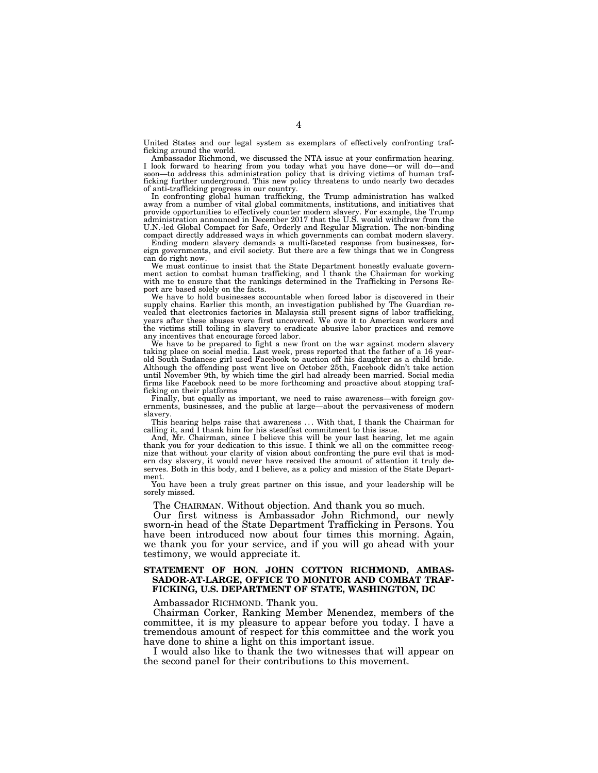United States and our legal system as exemplars of effectively confronting trafficking around the world.

Ambassador Richmond, we discussed the NTA issue at your confirmation hearing. I look forward to hearing from you today what you have done—or will do—and soon—to address this administration policy that is driving victims of human trafficking further underground. This new policy threatens to undo nearly two decades of anti-trafficking progress in our country.

In confronting global human trafficking, the Trump administration has walked away from a number of vital global commitments, institutions, and initiatives that provide opportunities to effectively counter modern slavery. For example, the Trump administration announced in December 2017 that the U.S. would withdraw from the U.N.-led Global Compact for Safe, Orderly and Regular Migration. The non-binding compact directly addressed ways in which governments can combat modern slavery.

Ending modern slavery demands a multi-faceted response from businesses, for-eign governments, and civil society. But there are a few things that we in Congress can do right now.

We must continue to insist that the State Department honestly evaluate government action to combat human trafficking, and I thank the Chairman for working with me to ensure that the rankings determined in the Trafficking in Persons Report are based solely on the facts.

We have to hold businesses accountable when forced labor is discovered in their supply chains. Earlier this month, an investigation published by The Guardian revealed that electronics factories in Malaysia still present signs of labor trafficking, years after these abuses were first uncovered. We owe it to American workers and the victims still toiling in slavery to eradicate abusive labor practices and remove any incentives that encourage forced labor.

We have to be prepared to fight a new front on the war against modern slavery taking place on social media. Last week, press reported that the father of a 16 yearold South Sudanese girl used Facebook to auction off his daughter as a child bride. Although the offending post went live on October 25th, Facebook didn't take action until November 9th, by which time the girl had already been married. Social media firms like Facebook need to be more forthcoming and proactive about stopping trafficking on their platforms

Finally, but equally as important, we need to raise awareness—with foreign governments, businesses, and the public at large—about the pervasiveness of modern slavery.

This hearing helps raise that awareness . . . With that, I thank the Chairman for calling it, and I thank him for his steadfast commitment to this issue.

And, Mr. Chairman, since I believe this will be your last hearing, let me again thank you for your dedication to this issue. I think we all on the committee recognize that without your clarity of vision about confronting the pure evil that is modern day slavery, it would never have received the amount of attention it truly deserves. Both in this body, and I believe, as a policy and mission of the State Department.

You have been a truly great partner on this issue, and your leadership will be sorely missed.

The CHAIRMAN. Without objection. And thank you so much.

Our first witness is Ambassador John Richmond, our newly sworn-in head of the State Department Trafficking in Persons. You have been introduced now about four times this morning. Again, we thank you for your service, and if you will go ahead with your testimony, we would appreciate it.

## **STATEMENT OF HON. JOHN COTTON RICHMOND, AMBAS-SADOR-AT-LARGE, OFFICE TO MONITOR AND COMBAT TRAF-FICKING, U.S. DEPARTMENT OF STATE, WASHINGTON, DC**

Ambassador RICHMOND. Thank you.

Chairman Corker, Ranking Member Menendez, members of the committee, it is my pleasure to appear before you today. I have a tremendous amount of respect for this committee and the work you have done to shine a light on this important issue.

I would also like to thank the two witnesses that will appear on the second panel for their contributions to this movement.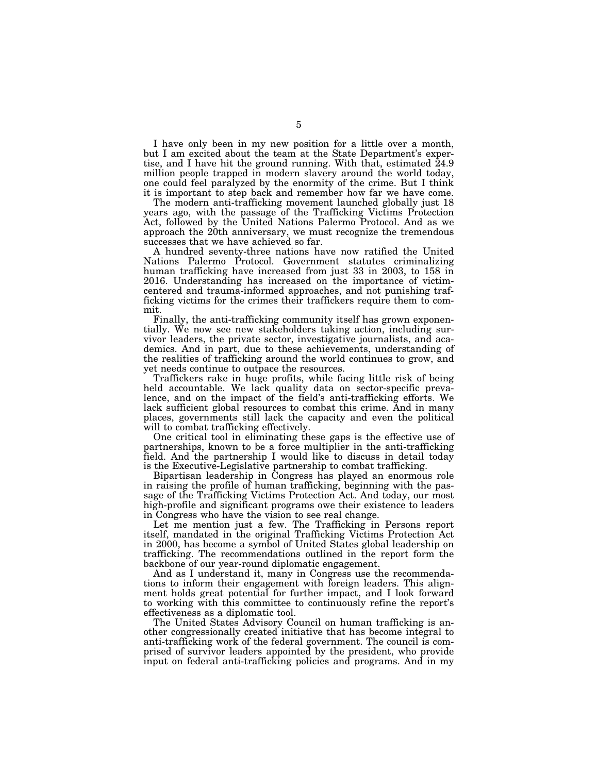I have only been in my new position for a little over a month, but I am excited about the team at the State Department's expertise, and I have hit the ground running. With that, estimated  $24.9$ million people trapped in modern slavery around the world today, one could feel paralyzed by the enormity of the crime. But I think it is important to step back and remember how far we have come.

The modern anti-trafficking movement launched globally just 18 years ago, with the passage of the Trafficking Victims Protection Act, followed by the United Nations Palermo Protocol. And as we approach the 20th anniversary, we must recognize the tremendous successes that we have achieved so far.

A hundred seventy-three nations have now ratified the United Nations Palermo Protocol. Government statutes criminalizing human trafficking have increased from just 33 in 2003, to 158 in 2016. Understanding has increased on the importance of victimcentered and trauma-informed approaches, and not punishing trafficking victims for the crimes their traffickers require them to commit.

Finally, the anti-trafficking community itself has grown exponentially. We now see new stakeholders taking action, including survivor leaders, the private sector, investigative journalists, and academics. And in part, due to these achievements, understanding of the realities of trafficking around the world continues to grow, and yet needs continue to outpace the resources.

Traffickers rake in huge profits, while facing little risk of being held accountable. We lack quality data on sector-specific prevalence, and on the impact of the field's anti-trafficking efforts. We lack sufficient global resources to combat this crime. And in many places, governments still lack the capacity and even the political will to combat trafficking effectively.

One critical tool in eliminating these gaps is the effective use of partnerships, known to be a force multiplier in the anti-trafficking field. And the partnership I would like to discuss in detail today is the Executive-Legislative partnership to combat trafficking.

Bipartisan leadership in Congress has played an enormous role in raising the profile of human trafficking, beginning with the passage of the Trafficking Victims Protection Act. And today, our most high-profile and significant programs owe their existence to leaders in Congress who have the vision to see real change.

Let me mention just a few. The Trafficking in Persons report itself, mandated in the original Trafficking Victims Protection Act in 2000, has become a symbol of United States global leadership on trafficking. The recommendations outlined in the report form the backbone of our year-round diplomatic engagement.

And as I understand it, many in Congress use the recommendations to inform their engagement with foreign leaders. This alignment holds great potential for further impact, and I look forward to working with this committee to continuously refine the report's effectiveness as a diplomatic tool.

The United States Advisory Council on human trafficking is another congressionally created initiative that has become integral to anti-trafficking work of the federal government. The council is comprised of survivor leaders appointed by the president, who provide input on federal anti-trafficking policies and programs. And in my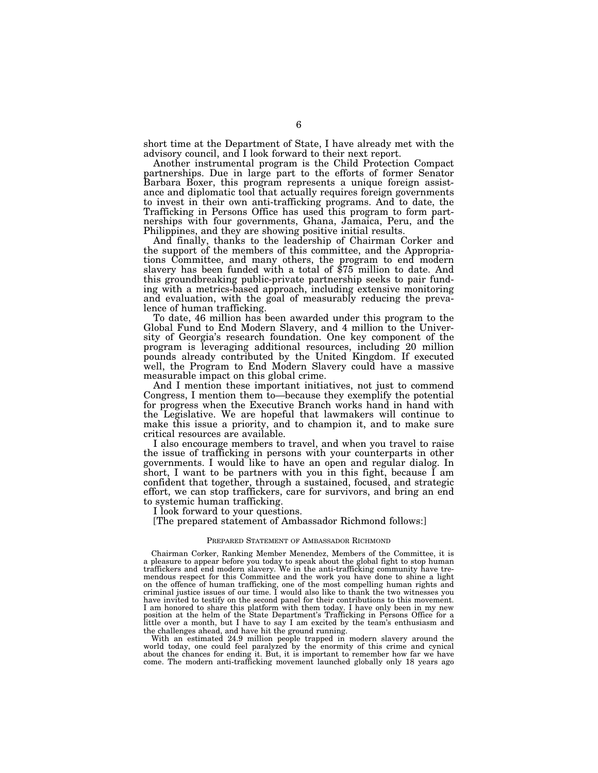short time at the Department of State, I have already met with the advisory council, and I look forward to their next report.

Another instrumental program is the Child Protection Compact partnerships. Due in large part to the efforts of former Senator Barbara Boxer, this program represents a unique foreign assistance and diplomatic tool that actually requires foreign governments to invest in their own anti-trafficking programs. And to date, the Trafficking in Persons Office has used this program to form partnerships with four governments, Ghana, Jamaica, Peru, and the Philippines, and they are showing positive initial results.

And finally, thanks to the leadership of Chairman Corker and the support of the members of this committee, and the Appropriations Committee, and many others, the program to end modern slavery has been funded with a total of \$75 million to date. And this groundbreaking public-private partnership seeks to pair funding with a metrics-based approach, including extensive monitoring and evaluation, with the goal of measurably reducing the prevalence of human trafficking.

To date, 46 million has been awarded under this program to the Global Fund to End Modern Slavery, and 4 million to the University of Georgia's research foundation. One key component of the program is leveraging additional resources, including 20 million pounds already contributed by the United Kingdom. If executed well, the Program to End Modern Slavery could have a massive measurable impact on this global crime.

And I mention these important initiatives, not just to commend Congress, I mention them to—because they exemplify the potential for progress when the Executive Branch works hand in hand with the Legislative. We are hopeful that lawmakers will continue to make this issue a priority, and to champion it, and to make sure critical resources are available.

I also encourage members to travel, and when you travel to raise the issue of trafficking in persons with your counterparts in other governments. I would like to have an open and regular dialog. In short, I want to be partners with you in this fight, because  $\overline{I}$  am confident that together, through a sustained, focused, and strategic effort, we can stop traffickers, care for survivors, and bring an end to systemic human trafficking.

I look forward to your questions.

[The prepared statement of Ambassador Richmond follows:]

## PREPARED STATEMENT OF AMBASSADOR RICHMOND

Chairman Corker, Ranking Member Menendez, Members of the Committee, it is a pleasure to appear before you today to speak about the global fight to stop human traffickers and end modern slavery. We in the anti-trafficking community have tremendous respect for this Committee and the work you have done to shine a light on the offence of human trafficking, one of the most compelling human rights and criminal justice issues of our time. I would also like to thank the two witnesses you have invited to testify on the second panel for their contributions to this movement. I am honored to share this platform with them today. I have only been in my new position at the helm of the State Department's Trafficking in Persons Office for a little over a month, but I have to say I am excited by the the challenges ahead, and have hit the ground running.

With an estimated 24.9 million people trapped in modern slavery around the world today, one could feel paralyzed by the enormity of this crime and cynical about the chances for ending it. But, it is important to remember how far we have come. The modern anti-trafficking movement launched globally only 18 years ago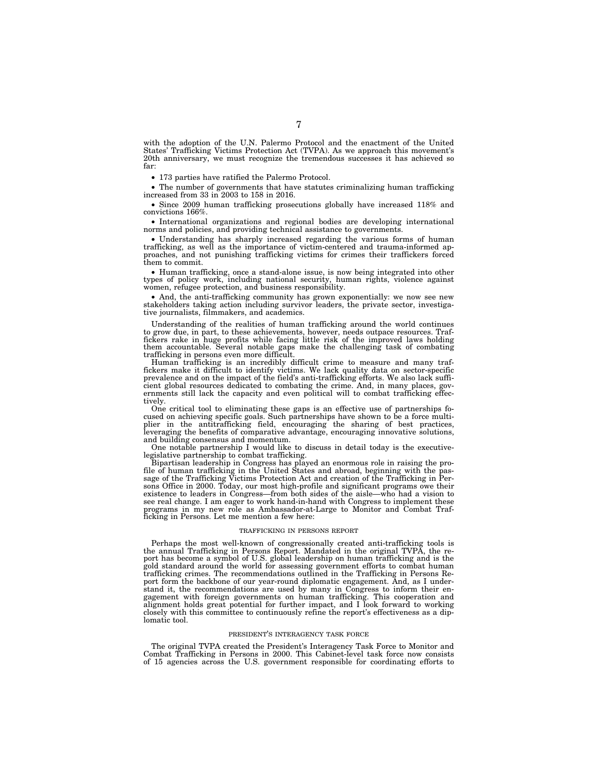with the adoption of the U.N. Palermo Protocol and the enactment of the United States' Trafficking Victims Protection Act (TVPA). As we approach this movement's 20th anniversary, we must recognize the tremendous successes it has achieved so far:

• 173 parties have ratified the Palermo Protocol.

• The number of governments that have statutes criminalizing human trafficking increased from 33 in 2003 to 158 in 2016.

• Since 2009 human trafficking prosecutions globally have increased 118% and convictions 166%.

• International organizations and regional bodies are developing international norms and policies, and providing technical assistance to governments.

• Understanding has sharply increased regarding the various forms of human trafficking, as well as the importance of victim-centered and trauma-informed approaches, and not punishing trafficking victims for crimes their traffickers forced them to commit.

• Human trafficking, once a stand-alone issue, is now being integrated into other types of policy work, including national security, human rights, violence against women, refugee protection, and business responsibility.

• And, the anti-trafficking community has grown exponentially: we now see new stakeholders taking action including survivor leaders, the private sector, investigative journalists, filmmakers, and academics.

Understanding of the realities of human trafficking around the world continues to grow due, in part, to these achievements, however, needs outpace resources. Traffickers rake in huge profits while facing little risk of the improved laws holding them accountable. Several notable gaps make the challenging task of combating trafficking in persons even more difficult.

Human trafficking is an incredibly difficult crime to measure and many traffickers make it difficult to identify victims. We lack quality data on sector-specific prevalence and on the impact of the field's anti-trafficking efforts. We also lack sufficient global resources dedicated to combating the crime. And, in many places, gov-ernments still lack the capacity and even political will to combat trafficking effectively.

One critical tool to eliminating these gaps is an effective use of partnerships focused on achieving specific goals. Such partnerships have shown to be a force multiplier in the antitrafficking field, encouraging the sharing of best practices, leveraging the benefits of comparative advantage, encouraging innovative solutions, and building consensus and momentum.

One notable partnership I would like to discuss in detail today is the executivelegislative partnership to combat trafficking.

Bipartisan leadership in Congress has played an enormous role in raising the pro-file of human trafficking in the United States and abroad, beginning with the passage of the Trafficking Victims Protection Act and creation of the Trafficking in Persons Office in 2000. Today, our most high-profile and significant programs owe their existence to leaders in Congress—from both sides of the aisle—who had a vision to see real change. I am eager to work hand-in-hand with Congress to implement these programs in my new role as Ambassador-at-Large to Monitor and Combat Trafficking in Persons. Let me mention a few here:

## TRAFFICKING IN PERSONS REPORT

Perhaps the most well-known of congressionally created anti-trafficking tools is the annual Trafficking in Persons Report. Mandated in the original TVPA, the report has become a symbol of U.S. global leadership on human trafficking and is the gold standard around the world for assessing government efforts to combat human trafficking crimes. The recommendations outlined in the Trafficking in Persons Report form the backbone of our year-round diplomatic engagement. And, as I understand it, the recommendations are used by many in Congress to inform their engagement with foreign governments on human trafficking. This cooperation and alignment holds great potential for further impact, and I look forward to working closely with this committee to continuously refine the report's effectiveness as a diplomatic tool.

## PRESIDENT'S INTERAGENCY TASK FORCE

The original TVPA created the President's Interagency Task Force to Monitor and Combat Trafficking in Persons in 2000. This Cabinet-level task force now consists of 15 agencies across the U.S. government responsible for coordinating efforts to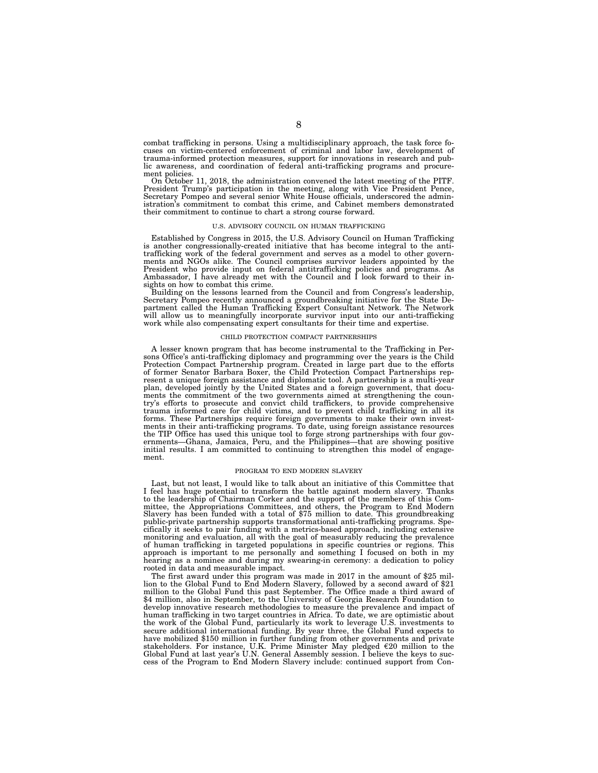combat trafficking in persons. Using a multidisciplinary approach, the task force focuses on victim-centered enforcement of criminal and labor law, development of trauma-informed protection measures, support for innovations in research and pub-lic awareness, and coordination of federal anti-trafficking programs and procurement policies.

On October 11, 2018, the administration convened the latest meeting of the PITF. President Trump's participation in the meeting, along with Vice President Pence, Secretary Pompeo and several senior White House officials, underscored the administration's commitment to combat this crime, and Cabinet members demonstrated their commitment to continue to chart a strong course forward.

#### U.S. ADVISORY COUNCIL ON HUMAN TRAFFICKING

Established by Congress in 2015, the U.S. Advisory Council on Human Trafficking is another congressionally-created initiative that has become integral to the antitrafficking work of the federal government and serves as a model to other governments and NGOs alike. The Council comprises survivor leaders appointed by the<br>President who provide input on federal antitrafficking policies and programs. As<br>Ambassador, I have already met with the Council and I look forw sights on how to combat this crime.

Building on the lessons learned from the Council and from Congress's leadership, Secretary Pompeo recently announced a groundbreaking initiative for the State De-partment called the Human Trafficking Expert Consultant Network. The Network will allow us to meaningfully incorporate survivor input into our anti-trafficking work while also compensating expert consultants for their time and expertise.

## CHILD PROTECTION COMPACT PARTNERSHIPS

A lesser known program that has become instrumental to the Trafficking in Persons Office's anti-trafficking diplomacy and programming over the years is the Child<br>Protection Compact Partnership program. Created in large part due to the efforts<br>of former Senator Barbara Boxer, the Child Protection Co resent a unique foreign assistance and diplomatic tool. A partnership is a multi-year plan, developed jointly by the United States and a foreign government, that documents the commitment of the two governments aimed at strengthening the country's efforts to prosecute and convict child traffickers, to provide comprehensive trauma informed care for child victims, and to prevent child trafficking in all its forms. These Partnerships require foreign governments to make their own invest-ments in their anti-trafficking programs. To date, using foreign assistance resources the TIP Office has used this unique tool to forge strong partnerships with four gov-ernments—Ghana, Jamaica, Peru, and the Philippines—that are showing positive initial results. I am committed to continuing to strengthen this model of engagement.

## PROGRAM TO END MODERN SLAVERY

Last, but not least, I would like to talk about an initiative of this Committee that I feel has huge potential to transform the battle against modern slavery. Thanks to the leadership of Chairman Corker and the support of the members of this Committee, the Appropriations Committees, and others, the Program to End Modern Slavery has been funded with a total of \$75 million to date. This groundbreaking public-private partnership supports transformational anti-trafficking programs. Specifically it seeks to pair funding with a metrics-based approach, including extensive monitoring and evaluation, all with the goal of measurably reducing the prevalence of human trafficking in targeted populations in specific countries or regions. This approach is important to me personally and something I focused on both in my hearing as a nominee and during my swearing-in ceremony: a dedication to policy rooted in data and measurable impact.

The first award under this program was made in 2017 in the amount of \$25 million to the Global Fund to End Modern Slavery, followed by a second award of \$21 million to the Global Fund this past September. The Office made a third award of \$4 million, also in September, to the University of Georgia Research Foundation to develop innovative research methodologies to measure the prevalence and impact of human trafficking in two target countries in Africa. To date, we are optimistic about the work of the Global Fund, particularly its work to leverage U.S. investments to secure additional international funding. By year three, the Global Fund expects to have mobilized \$150 million in further funding from other governments and private stakeholders. For instance, U.K. Prime Minister May pledged  $\epsilon$ 20 million to the Global Fund at last year's U.N. General Assembly session. I believe the keys to success of the Program to End Modern Slavery include: continued support from Con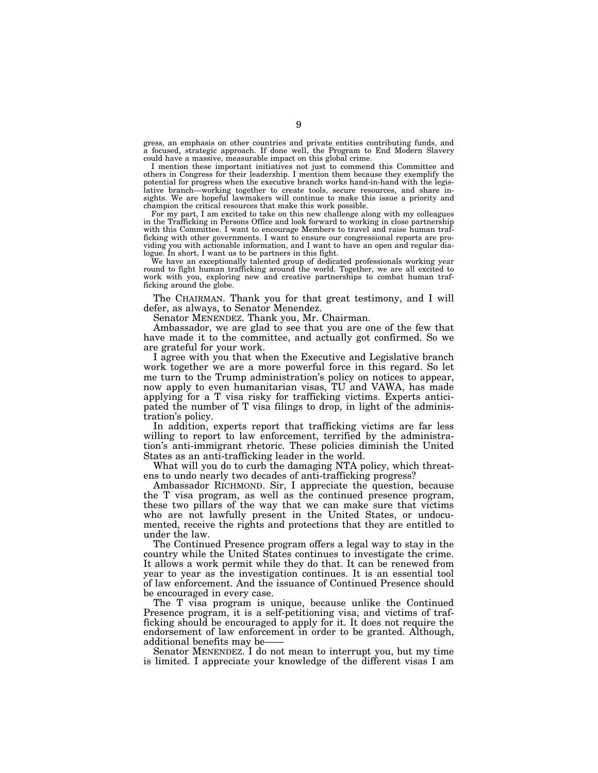gress, an emphasis on other countries and private entities contributing funds, and a focused, strategic approach. If done well, the Program to End Modern Slavery could have a massive, measurable impact on this global crime.

I mention these important initiatives not just to commend this Committee and others in Congress for their leadership. I mention them because they exemplify the potential for progress when the executive branch works hand-in-hand with the legislative branch—working together to create tools, secure resources, and share insights. We are hopeful lawmakers will continue to make this issue a priority and champion the critical resources that make this work possible.

For my part, I am excited to take on this new challenge along with my colleagues in the Trafficking in Persons Office and look forward to working in close partnership with this Committee. I want to encourage Members to travel and raise human trafficking with other governments. I want to ensure our congressional reports are providing you with actionable information, and I want to have an open and regular dialogue. In short, I want us to be partners in this fight.

We have an exceptionally talented group of dedicated professionals working year round to fight human trafficking around the world. Together, we are all excited to work with you, exploring new and creative partnerships to combat human trafficking around the globe.

The CHAIRMAN. Thank you for that great testimony, and I will defer, as always, to Senator Menendez.

Senator MENENDEZ. Thank you, Mr. Chairman.

Ambassador, we are glad to see that you are one of the few that have made it to the committee, and actually got confirmed. So we are grateful for your work.

I agree with you that when the Executive and Legislative branch work together we are a more powerful force in this regard. So let me turn to the Trump administration's policy on notices to appear, now apply to even humanitarian visas, TU and VAWA, has made applying for a T visa risky for trafficking victims. Experts anticipated the number of T visa filings to drop, in light of the administration's policy.

In addition, experts report that trafficking victims are far less willing to report to law enforcement, terrified by the administration's anti-immigrant rhetoric. These policies diminish the United States as an anti-trafficking leader in the world.

What will you do to curb the damaging NTA policy, which threatens to undo nearly two decades of anti-trafficking progress?

Ambassador RICHMOND. Sir, I appreciate the question, because the T visa program, as well as the continued presence program, these two pillars of the way that we can make sure that victims who are not lawfully present in the United States, or undocumented, receive the rights and protections that they are entitled to under the law.

The Continued Presence program offers a legal way to stay in the country while the United States continues to investigate the crime. It allows a work permit while they do that. It can be renewed from year to year as the investigation continues. It is an essential tool of law enforcement. And the issuance of Continued Presence should be encouraged in every case.

The T visa program is unique, because unlike the Continued Presence program, it is a self-petitioning visa, and victims of trafficking should be encouraged to apply for it. It does not require the endorsement of law enforcement in order to be granted. Although, additional benefits may be-

Senator MENENDEZ. I do not mean to interrupt you, but my time is limited. I appreciate your knowledge of the different visas I am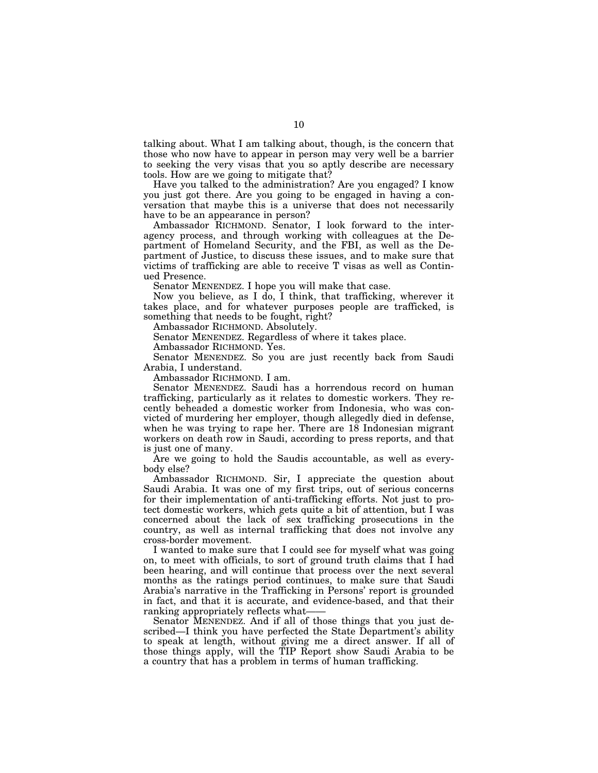talking about. What I am talking about, though, is the concern that those who now have to appear in person may very well be a barrier to seeking the very visas that you so aptly describe are necessary tools. How are we going to mitigate that?

Have you talked to the administration? Are you engaged? I know you just got there. Are you going to be engaged in having a conversation that maybe this is a universe that does not necessarily have to be an appearance in person?

Ambassador RICHMOND. Senator, I look forward to the interagency process, and through working with colleagues at the Department of Homeland Security, and the FBI, as well as the Department of Justice, to discuss these issues, and to make sure that victims of trafficking are able to receive T visas as well as Continued Presence.

Senator MENENDEZ. I hope you will make that case.

Now you believe, as I do, I think, that trafficking, wherever it takes place, and for whatever purposes people are trafficked, is something that needs to be fought, right?

Ambassador RICHMOND. Absolutely.

Senator MENENDEZ. Regardless of where it takes place.

Ambassador RICHMOND. Yes.

Senator MENENDEZ. So you are just recently back from Saudi Arabia, I understand.

Ambassador RICHMOND. I am.

Senator MENENDEZ. Saudi has a horrendous record on human trafficking, particularly as it relates to domestic workers. They recently beheaded a domestic worker from Indonesia, who was convicted of murdering her employer, though allegedly died in defense, when he was trying to rape her. There are 18 Indonesian migrant workers on death row in Saudi, according to press reports, and that is just one of many.

Are we going to hold the Saudis accountable, as well as everybody else?

Ambassador RICHMOND. Sir, I appreciate the question about Saudi Arabia. It was one of my first trips, out of serious concerns for their implementation of anti-trafficking efforts. Not just to protect domestic workers, which gets quite a bit of attention, but I was concerned about the lack of sex trafficking prosecutions in the country, as well as internal trafficking that does not involve any cross-border movement.

I wanted to make sure that I could see for myself what was going on, to meet with officials, to sort of ground truth claims that I had been hearing, and will continue that process over the next several months as the ratings period continues, to make sure that Saudi Arabia's narrative in the Trafficking in Persons' report is grounded in fact, and that it is accurate, and evidence-based, and that their ranking appropriately reflects what-

Senator MENENDEZ. And if all of those things that you just described—I think you have perfected the State Department's ability to speak at length, without giving me a direct answer. If all of those things apply, will the TIP Report show Saudi Arabia to be a country that has a problem in terms of human trafficking.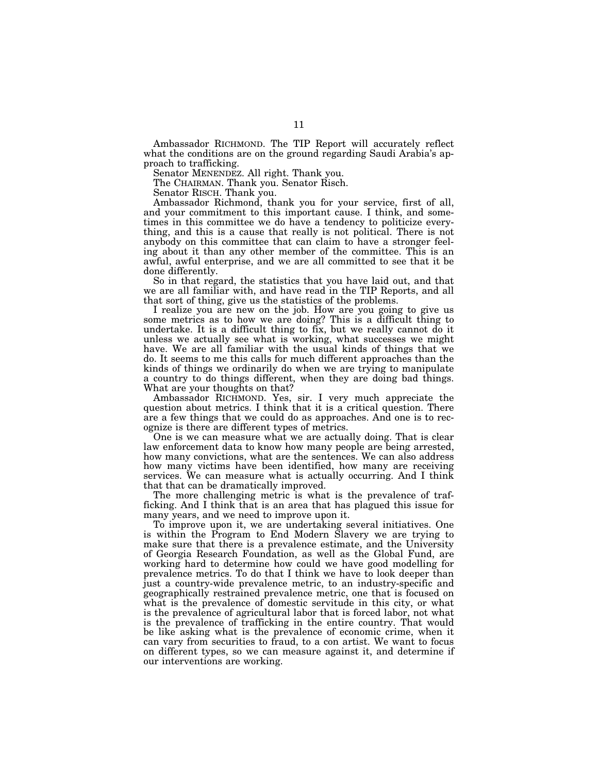Ambassador RICHMOND. The TIP Report will accurately reflect what the conditions are on the ground regarding Saudi Arabia's approach to trafficking.

Senator MENENDEZ. All right. Thank you.

The CHAIRMAN. Thank you. Senator Risch.

Senator RISCH. Thank you.

Ambassador Richmond, thank you for your service, first of all, and your commitment to this important cause. I think, and sometimes in this committee we do have a tendency to politicize everything, and this is a cause that really is not political. There is not anybody on this committee that can claim to have a stronger feeling about it than any other member of the committee. This is an awful, awful enterprise, and we are all committed to see that it be done differently.

So in that regard, the statistics that you have laid out, and that we are all familiar with, and have read in the TIP Reports, and all that sort of thing, give us the statistics of the problems.

I realize you are new on the job. How are you going to give us some metrics as to how we are doing? This is a difficult thing to undertake. It is a difficult thing to fix, but we really cannot do it unless we actually see what is working, what successes we might have. We are all familiar with the usual kinds of things that we do. It seems to me this calls for much different approaches than the kinds of things we ordinarily do when we are trying to manipulate a country to do things different, when they are doing bad things. What are your thoughts on that?

Ambassador RICHMOND. Yes, sir. I very much appreciate the question about metrics. I think that it is a critical question. There are a few things that we could do as approaches. And one is to recognize is there are different types of metrics.

One is we can measure what we are actually doing. That is clear law enforcement data to know how many people are being arrested, how many convictions, what are the sentences. We can also address how many victims have been identified, how many are receiving services. We can measure what is actually occurring. And I think that that can be dramatically improved.

The more challenging metric is what is the prevalence of trafficking. And I think that is an area that has plagued this issue for many years, and we need to improve upon it.

To improve upon it, we are undertaking several initiatives. One is within the Program to End Modern Slavery we are trying to make sure that there is a prevalence estimate, and the University of Georgia Research Foundation, as well as the Global Fund, are working hard to determine how could we have good modelling for prevalence metrics. To do that I think we have to look deeper than just a country-wide prevalence metric, to an industry-specific and geographically restrained prevalence metric, one that is focused on what is the prevalence of domestic servitude in this city, or what is the prevalence of agricultural labor that is forced labor, not what is the prevalence of trafficking in the entire country. That would be like asking what is the prevalence of economic crime, when it can vary from securities to fraud, to a con artist. We want to focus on different types, so we can measure against it, and determine if our interventions are working.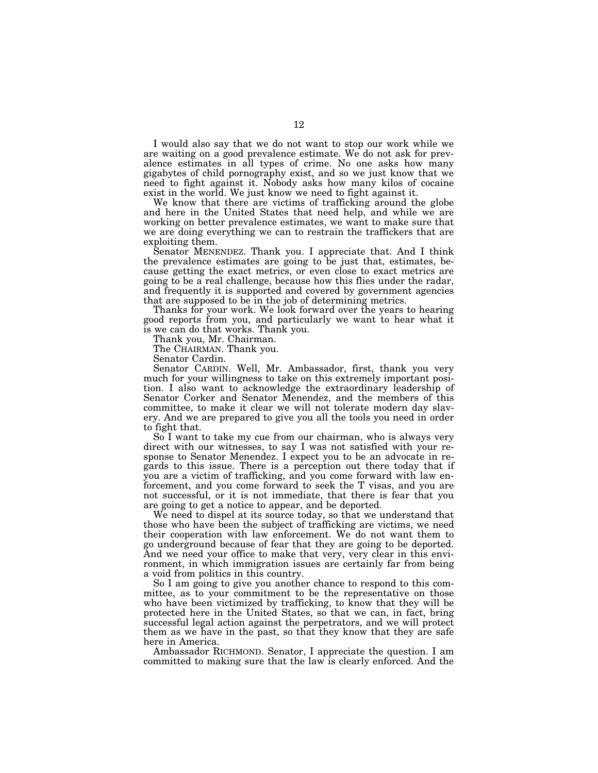I would also say that we do not want to stop our work while we are waiting on a good prevalence estimate. We do not ask for prevalence estimates in all types of crime. No one asks how many gigabytes of child pornography exist, and so we just know that we need to fight against it. Nobody asks how many kilos of cocaine exist in the world. We just know we need to fight against it.

We know that there are victims of trafficking around the globe and here in the United States that need help, and while we are working on better prevalence estimates, we want to make sure that we are doing everything we can to restrain the traffickers that are exploiting them.

Senator MENENDEZ. Thank you. I appreciate that. And I think the prevalence estimates are going to be just that, estimates, because getting the exact metrics, or even close to exact metrics are going to be a real challenge, because how this flies under the radar, and frequently it is supported and covered by government agencies that are supposed to be in the job of determining metrics.

Thanks for your work. We look forward over the years to hearing good reports from you, and particularly we want to hear what it is we can do that works. Thank you.

Thank you, Mr. Chairman.

The CHAIRMAN. Thank you.

Senator Cardin.

Senator CARDIN. Well, Mr. Ambassador, first, thank you very much for your willingness to take on this extremely important position. I also want to acknowledge the extraordinary leadership of Senator Corker and Senator Menendez, and the members of this committee, to make it clear we will not tolerate modern day slavery. And we are prepared to give you all the tools you need in order to fight that.

So I want to take my cue from our chairman, who is always very direct with our witnesses, to say I was not satisfied with your response to Senator Menendez. I expect you to be an advocate in regards to this issue. There is a perception out there today that if you are a victim of trafficking, and you come forward with law enforcement, and you come forward to seek the T visas, and you are not successful, or it is not immediate, that there is fear that you are going to get a notice to appear, and be deported.

We need to dispel at its source today, so that we understand that those who have been the subject of trafficking are victims, we need their cooperation with law enforcement. We do not want them to go underground because of fear that they are going to be deported. And we need your office to make that very, very clear in this environment, in which immigration issues are certainly far from being a void from politics in this country.

So I am going to give you another chance to respond to this committee, as to your commitment to be the representative on those who have been victimized by trafficking, to know that they will be protected here in the United States, so that we can, in fact, bring successful legal action against the perpetrators, and we will protect them as we have in the past, so that they know that they are safe here in America.

Ambassador RICHMOND. Senator, I appreciate the question. I am committed to making sure that the law is clearly enforced. And the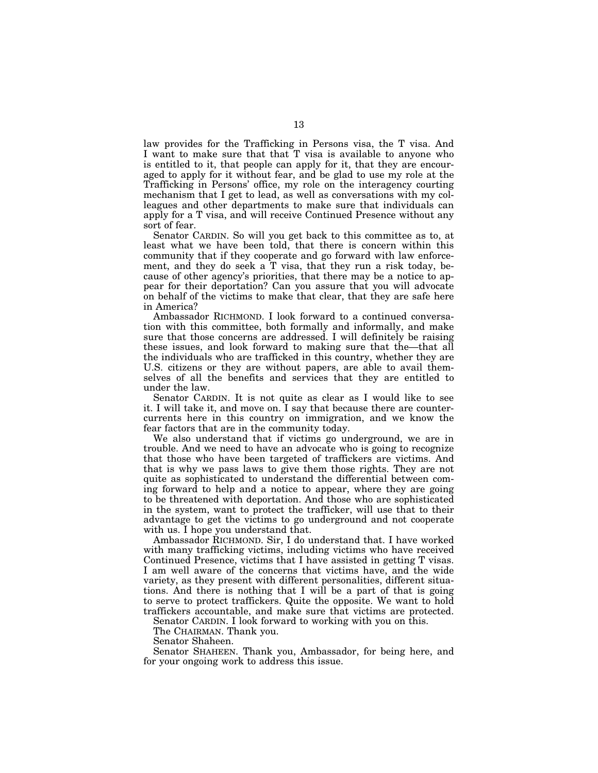law provides for the Trafficking in Persons visa, the T visa. And I want to make sure that that T visa is available to anyone who is entitled to it, that people can apply for it, that they are encouraged to apply for it without fear, and be glad to use my role at the Trafficking in Persons' office, my role on the interagency courting mechanism that I get to lead, as well as conversations with my colleagues and other departments to make sure that individuals can apply for a T visa, and will receive Continued Presence without any sort of fear.

Senator CARDIN. So will you get back to this committee as to, at least what we have been told, that there is concern within this community that if they cooperate and go forward with law enforcement, and they do seek a T visa, that they run a risk today, because of other agency's priorities, that there may be a notice to appear for their deportation? Can you assure that you will advocate on behalf of the victims to make that clear, that they are safe here in America?

Ambassador RICHMOND. I look forward to a continued conversation with this committee, both formally and informally, and make sure that those concerns are addressed. I will definitely be raising these issues, and look forward to making sure that the—that all the individuals who are trafficked in this country, whether they are U.S. citizens or they are without papers, are able to avail themselves of all the benefits and services that they are entitled to under the law.

Senator CARDIN. It is not quite as clear as I would like to see it. I will take it, and move on. I say that because there are countercurrents here in this country on immigration, and we know the fear factors that are in the community today.

We also understand that if victims go underground, we are in trouble. And we need to have an advocate who is going to recognize that those who have been targeted of traffickers are victims. And that is why we pass laws to give them those rights. They are not quite as sophisticated to understand the differential between coming forward to help and a notice to appear, where they are going to be threatened with deportation. And those who are sophisticated in the system, want to protect the trafficker, will use that to their advantage to get the victims to go underground and not cooperate with us. I hope you understand that.

Ambassador RICHMOND. Sir, I do understand that. I have worked with many trafficking victims, including victims who have received Continued Presence, victims that I have assisted in getting T visas. I am well aware of the concerns that victims have, and the wide variety, as they present with different personalities, different situations. And there is nothing that I will be a part of that is going to serve to protect traffickers. Quite the opposite. We want to hold traffickers accountable, and make sure that victims are protected.

Senator CARDIN. I look forward to working with you on this.

The CHAIRMAN. Thank you.

Senator Shaheen.

Senator SHAHEEN. Thank you, Ambassador, for being here, and for your ongoing work to address this issue.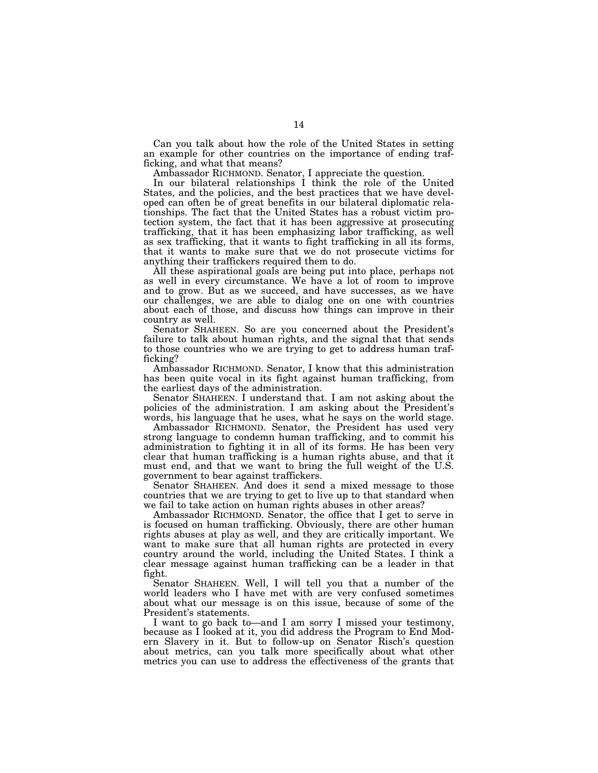Can you talk about how the role of the United States in setting an example for other countries on the importance of ending trafficking, and what that means?

Ambassador RICHMOND. Senator, I appreciate the question.

In our bilateral relationships I think the role of the United States, and the policies, and the best practices that we have developed can often be of great benefits in our bilateral diplomatic relationships. The fact that the United States has a robust victim protection system, the fact that it has been aggressive at prosecuting trafficking, that it has been emphasizing labor trafficking, as well as sex trafficking, that it wants to fight trafficking in all its forms, that it wants to make sure that we do not prosecute victims for anything their traffickers required them to do.

All these aspirational goals are being put into place, perhaps not as well in every circumstance. We have a lot of room to improve and to grow. But as we succeed, and have successes, as we have our challenges, we are able to dialog one on one with countries about each of those, and discuss how things can improve in their country as well.

Senator SHAHEEN. So are you concerned about the President's failure to talk about human rights, and the signal that that sends to those countries who we are trying to get to address human trafficking?

Ambassador RICHMOND. Senator, I know that this administration has been quite vocal in its fight against human trafficking, from the earliest days of the administration.

Senator SHAHEEN. I understand that. I am not asking about the policies of the administration. I am asking about the President's words, his language that he uses, what he says on the world stage.

Ambassador RICHMOND. Senator, the President has used very strong language to condemn human trafficking, and to commit his administration to fighting it in all of its forms. He has been very clear that human trafficking is a human rights abuse, and that it must end, and that we want to bring the full weight of the U.S. government to bear against traffickers.

Senator SHAHEEN. And does it send a mixed message to those countries that we are trying to get to live up to that standard when we fail to take action on human rights abuses in other areas?

Ambassador RICHMOND. Senator, the office that I get to serve in is focused on human trafficking. Obviously, there are other human rights abuses at play as well, and they are critically important. We want to make sure that all human rights are protected in every country around the world, including the United States. I think a clear message against human trafficking can be a leader in that fight.

Senator SHAHEEN. Well, I will tell you that a number of the world leaders who I have met with are very confused sometimes about what our message is on this issue, because of some of the President's statements.

I want to go back to—and I am sorry I missed your testimony, because as I looked at it, you did address the Program to End Modern Slavery in it. But to follow-up on Senator Risch's question about metrics, can you talk more specifically about what other metrics you can use to address the effectiveness of the grants that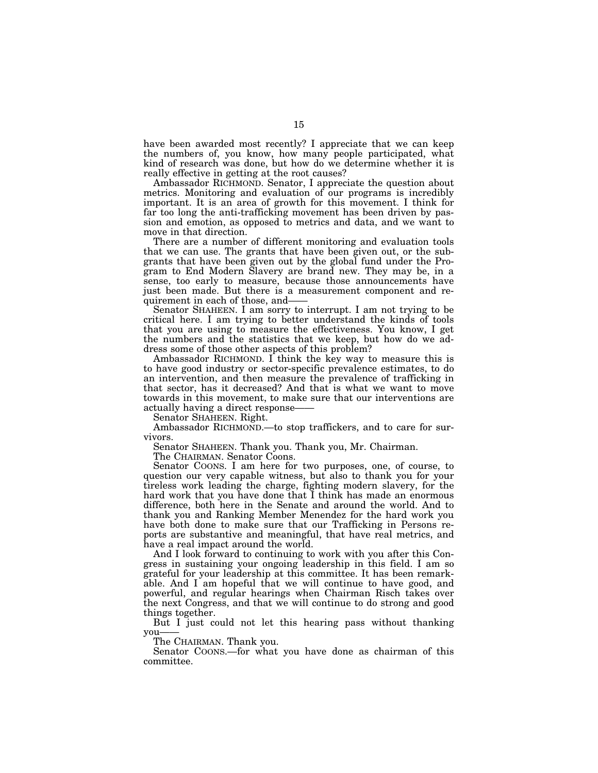have been awarded most recently? I appreciate that we can keep the numbers of, you know, how many people participated, what kind of research was done, but how do we determine whether it is really effective in getting at the root causes?

Ambassador RICHMOND. Senator, I appreciate the question about metrics. Monitoring and evaluation of our programs is incredibly important. It is an area of growth for this movement. I think for far too long the anti-trafficking movement has been driven by passion and emotion, as opposed to metrics and data, and we want to move in that direction.

There are a number of different monitoring and evaluation tools that we can use. The grants that have been given out, or the subgrants that have been given out by the global fund under the Program to End Modern Slavery are brand new. They may be, in a sense, too early to measure, because those announcements have just been made. But there is a measurement component and requirement in each of those, and——

Senator SHAHEEN. I am sorry to interrupt. I am not trying to be critical here. I am trying to better understand the kinds of tools that you are using to measure the effectiveness. You know, I get the numbers and the statistics that we keep, but how do we address some of those other aspects of this problem?

Ambassador RICHMOND. I think the key way to measure this is to have good industry or sector-specific prevalence estimates, to do an intervention, and then measure the prevalence of trafficking in that sector, has it decreased? And that is what we want to move towards in this movement, to make sure that our interventions are actually having a direct response-

Senator SHAHEEN. Right.

Ambassador RICHMOND.—to stop traffickers, and to care for survivors.

Senator SHAHEEN. Thank you. Thank you, Mr. Chairman.

The CHAIRMAN. Senator Coons.

Senator COONS. I am here for two purposes, one, of course, to question our very capable witness, but also to thank you for your tireless work leading the charge, fighting modern slavery, for the hard work that you have done that I think has made an enormous difference, both here in the Senate and around the world. And to thank you and Ranking Member Menendez for the hard work you have both done to make sure that our Trafficking in Persons reports are substantive and meaningful, that have real metrics, and have a real impact around the world.

And I look forward to continuing to work with you after this Congress in sustaining your ongoing leadership in this field. I am so grateful for your leadership at this committee. It has been remarkable. And I am hopeful that we will continue to have good, and powerful, and regular hearings when Chairman Risch takes over the next Congress, and that we will continue to do strong and good things together.

But I just could not let this hearing pass without thanking you-

The CHAIRMAN. Thank you.

Senator COONS.—for what you have done as chairman of this committee.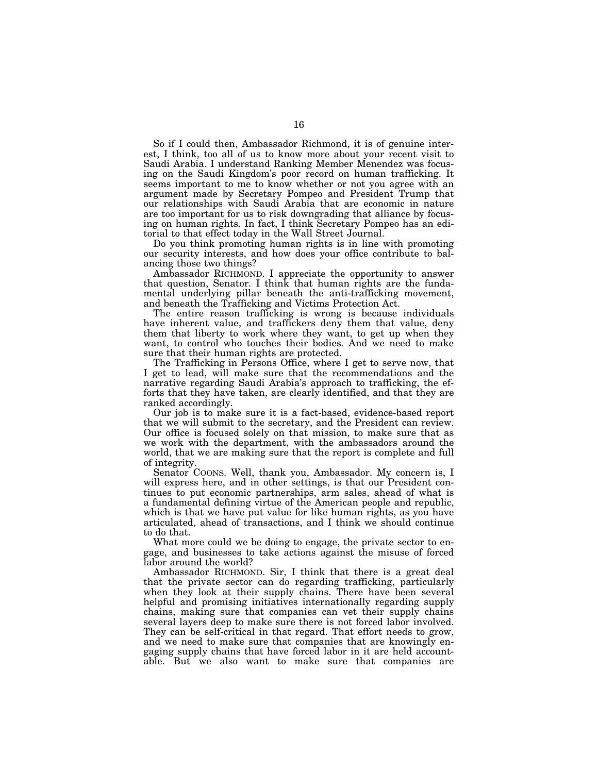So if I could then, Ambassador Richmond, it is of genuine interest, I think, too all of us to know more about your recent visit to Saudi Arabia. I understand Ranking Member Menendez was focusing on the Saudi Kingdom's poor record on human trafficking. It seems important to me to know whether or not you agree with an argument made by Secretary Pompeo and President Trump that our relationships with Saudi Arabia that are economic in nature are too important for us to risk downgrading that alliance by focusing on human rights. In fact, I think Secretary Pompeo has an editorial to that effect today in the Wall Street Journal.

Do you think promoting human rights is in line with promoting our security interests, and how does your office contribute to balancing those two things?

Ambassador RICHMOND. I appreciate the opportunity to answer that question, Senator. I think that human rights are the fundamental underlying pillar beneath the anti-trafficking movement, and beneath the Trafficking and Victims Protection Act.

The entire reason trafficking is wrong is because individuals have inherent value, and traffickers deny them that value, deny them that liberty to work where they want, to get up when they want, to control who touches their bodies. And we need to make sure that their human rights are protected.

The Trafficking in Persons Office, where I get to serve now, that I get to lead, will make sure that the recommendations and the narrative regarding Saudi Arabia's approach to trafficking, the efforts that they have taken, are clearly identified, and that they are ranked accordingly.

Our job is to make sure it is a fact-based, evidence-based report that we will submit to the secretary, and the President can review. Our office is focused solely on that mission, to make sure that as we work with the department, with the ambassadors around the world, that we are making sure that the report is complete and full of integrity.

Senator COONS. Well, thank you, Ambassador. My concern is, I will express here, and in other settings, is that our President continues to put economic partnerships, arm sales, ahead of what is a fundamental defining virtue of the American people and republic, which is that we have put value for like human rights, as you have articulated, ahead of transactions, and I think we should continue to do that.

What more could we be doing to engage, the private sector to engage, and businesses to take actions against the misuse of forced labor around the world?

Ambassador RICHMOND. Sir, I think that there is a great deal that the private sector can do regarding trafficking, particularly when they look at their supply chains. There have been several helpful and promising initiatives internationally regarding supply chains, making sure that companies can vet their supply chains several layers deep to make sure there is not forced labor involved. They can be self-critical in that regard. That effort needs to grow, and we need to make sure that companies that are knowingly engaging supply chains that have forced labor in it are held accountable. But we also want to make sure that companies are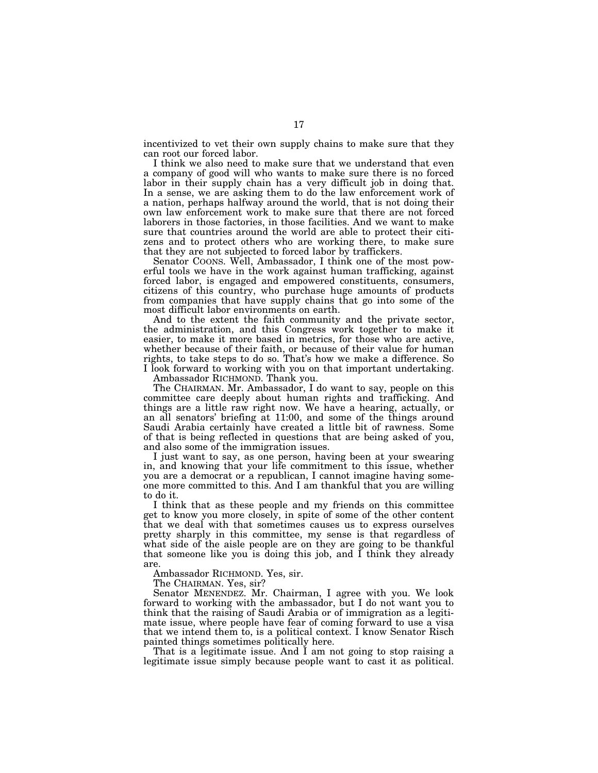incentivized to vet their own supply chains to make sure that they can root our forced labor.

I think we also need to make sure that we understand that even a company of good will who wants to make sure there is no forced labor in their supply chain has a very difficult job in doing that. In a sense, we are asking them to do the law enforcement work of a nation, perhaps halfway around the world, that is not doing their own law enforcement work to make sure that there are not forced laborers in those factories, in those facilities. And we want to make sure that countries around the world are able to protect their citizens and to protect others who are working there, to make sure that they are not subjected to forced labor by traffickers.

Senator COONS. Well, Ambassador, I think one of the most powerful tools we have in the work against human trafficking, against forced labor, is engaged and empowered constituents, consumers, citizens of this country, who purchase huge amounts of products from companies that have supply chains that go into some of the most difficult labor environments on earth.

And to the extent the faith community and the private sector, the administration, and this Congress work together to make it easier, to make it more based in metrics, for those who are active, whether because of their faith, or because of their value for human rights, to take steps to do so. That's how we make a difference. So I look forward to working with you on that important undertaking.

Ambassador RICHMOND. Thank you.

The CHAIRMAN. Mr. Ambassador, I do want to say, people on this committee care deeply about human rights and trafficking. And things are a little raw right now. We have a hearing, actually, or an all senators' briefing at 11:00, and some of the things around Saudi Arabia certainly have created a little bit of rawness. Some of that is being reflected in questions that are being asked of you, and also some of the immigration issues.

I just want to say, as one person, having been at your swearing in, and knowing that your life commitment to this issue, whether you are a democrat or a republican, I cannot imagine having someone more committed to this. And I am thankful that you are willing to do it.

I think that as these people and my friends on this committee get to know you more closely, in spite of some of the other content that we deal with that sometimes causes us to express ourselves pretty sharply in this committee, my sense is that regardless of what side of the aisle people are on they are going to be thankful that someone like you is doing this job, and I think they already are.

Ambassador RICHMOND. Yes, sir.

The CHAIRMAN. Yes, sir?

Senator MENENDEZ. Mr. Chairman, I agree with you. We look forward to working with the ambassador, but I do not want you to think that the raising of Saudi Arabia or of immigration as a legitimate issue, where people have fear of coming forward to use a visa that we intend them to, is a political context. I know Senator Risch painted things sometimes politically here.

That is a legitimate issue. And I am not going to stop raising a legitimate issue simply because people want to cast it as political.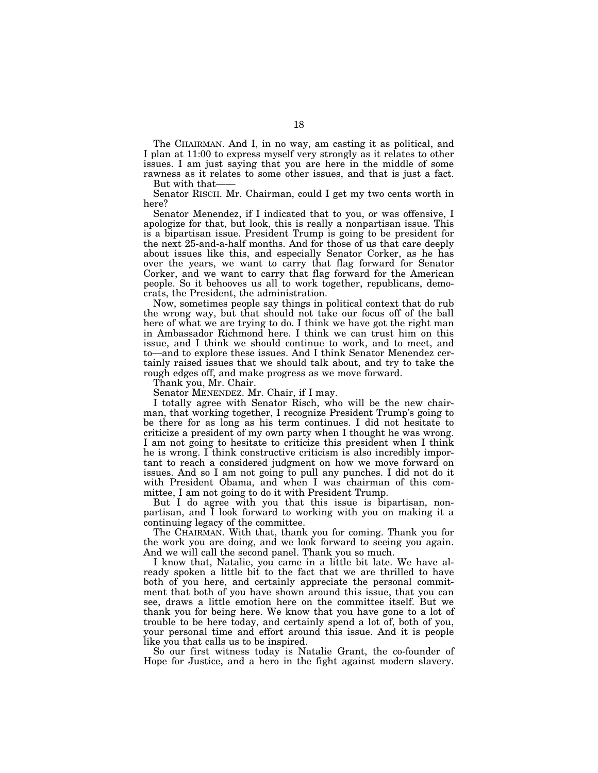The CHAIRMAN. And I, in no way, am casting it as political, and I plan at 11:00 to express myself very strongly as it relates to other issues. I am just saying that you are here in the middle of some rawness as it relates to some other issues, and that is just a fact.

But with that-Senator RISCH. Mr. Chairman, could I get my two cents worth in

here?

Senator Menendez, if I indicated that to you, or was offensive, I apologize for that, but look, this is really a nonpartisan issue. This is a bipartisan issue. President Trump is going to be president for the next 25-and-a-half months. And for those of us that care deeply about issues like this, and especially Senator Corker, as he has over the years, we want to carry that flag forward for Senator Corker, and we want to carry that flag forward for the American people. So it behooves us all to work together, republicans, democrats, the President, the administration.

Now, sometimes people say things in political context that do rub the wrong way, but that should not take our focus off of the ball here of what we are trying to do. I think we have got the right man in Ambassador Richmond here. I think we can trust him on this issue, and I think we should continue to work, and to meet, and to—and to explore these issues. And I think Senator Menendez certainly raised issues that we should talk about, and try to take the rough edges off, and make progress as we move forward.

Thank you, Mr. Chair.

Senator MENENDEZ. Mr. Chair, if I may.

I totally agree with Senator Risch, who will be the new chairman, that working together, I recognize President Trump's going to be there for as long as his term continues. I did not hesitate to criticize a president of my own party when I thought he was wrong. I am not going to hesitate to criticize this president when I think he is wrong. I think constructive criticism is also incredibly important to reach a considered judgment on how we move forward on issues. And so I am not going to pull any punches. I did not do it with President Obama, and when I was chairman of this committee, I am not going to do it with President Trump.

But I do agree with you that this issue is bipartisan, nonpartisan, and I look forward to working with you on making it a continuing legacy of the committee.

The CHAIRMAN. With that, thank you for coming. Thank you for the work you are doing, and we look forward to seeing you again. And we will call the second panel. Thank you so much.

I know that, Natalie, you came in a little bit late. We have already spoken a little bit to the fact that we are thrilled to have both of you here, and certainly appreciate the personal commitment that both of you have shown around this issue, that you can see, draws a little emotion here on the committee itself. But we thank you for being here. We know that you have gone to a lot of trouble to be here today, and certainly spend a lot of, both of you, your personal time and effort around this issue. And it is people like you that calls us to be inspired.

So our first witness today is Natalie Grant, the co-founder of Hope for Justice, and a hero in the fight against modern slavery.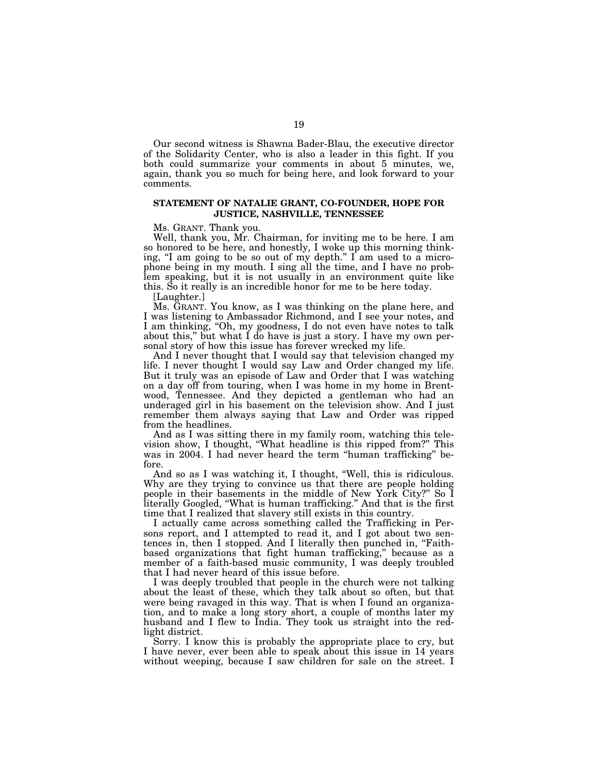Our second witness is Shawna Bader-Blau, the executive director of the Solidarity Center, who is also a leader in this fight. If you both could summarize your comments in about 5 minutes, we, again, thank you so much for being here, and look forward to your comments.

## **STATEMENT OF NATALIE GRANT, CO-FOUNDER, HOPE FOR JUSTICE, NASHVILLE, TENNESSEE**

Ms. GRANT. Thank you.

Well, thank you, Mr. Chairman, for inviting me to be here. I am so honored to be here, and honestly, I woke up this morning thinking, "I am going to be so out of my depth." I am used to a microphone being in my mouth. I sing all the time, and I have no problem speaking, but it is not usually in an environment quite like this. So it really is an incredible honor for me to be here today.

[Laughter.]

Ms. GRANT. You know, as I was thinking on the plane here, and I was listening to Ambassador Richmond, and I see your notes, and I am thinking, "Oh, my goodness, I do not even have notes to talk about this,'' but what I do have is just a story. I have my own personal story of how this issue has forever wrecked my life.

And I never thought that I would say that television changed my life. I never thought I would say Law and Order changed my life. But it truly was an episode of Law and Order that I was watching on a day off from touring, when I was home in my home in Brentwood, Tennessee. And they depicted a gentleman who had an underaged girl in his basement on the television show. And I just remember them always saying that Law and Order was ripped from the headlines.

And as I was sitting there in my family room, watching this television show, I thought, ''What headline is this ripped from?'' This was in 2004. I had never heard the term ''human trafficking'' before.

And so as I was watching it, I thought, ''Well, this is ridiculous. Why are they trying to convince us that there are people holding people in their basements in the middle of New York City?'' So I literally Googled, ''What is human trafficking.'' And that is the first time that I realized that slavery still exists in this country.

I actually came across something called the Trafficking in Persons report, and I attempted to read it, and I got about two sentences in, then I stopped. And I literally then punched in, ''Faithbased organizations that fight human trafficking,'' because as a member of a faith-based music community, I was deeply troubled that I had never heard of this issue before.

I was deeply troubled that people in the church were not talking about the least of these, which they talk about so often, but that were being ravaged in this way. That is when I found an organization, and to make a long story short, a couple of months later my husband and I flew to India. They took us straight into the redlight district.

Sorry. I know this is probably the appropriate place to cry, but I have never, ever been able to speak about this issue in 14 years without weeping, because I saw children for sale on the street. I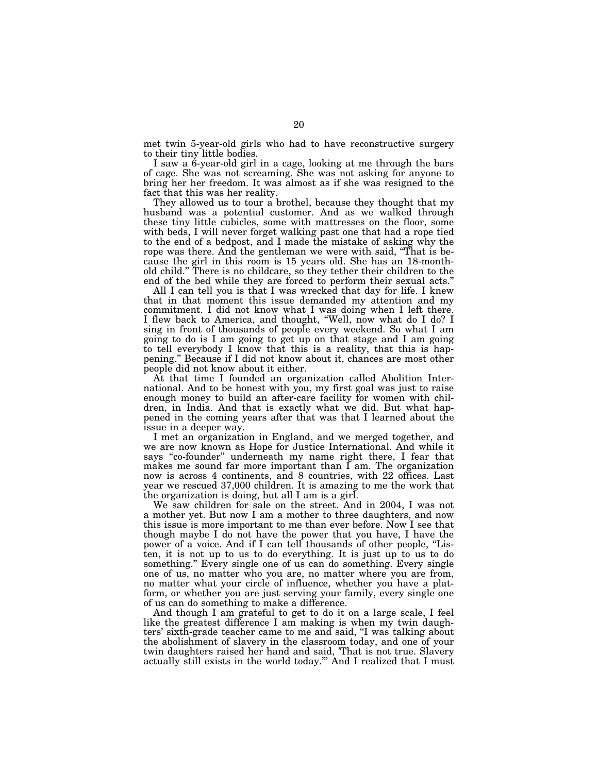met twin 5-year-old girls who had to have reconstructive surgery to their tiny little bodies.

I saw a 6-year-old girl in a cage, looking at me through the bars of cage. She was not screaming. She was not asking for anyone to bring her her freedom. It was almost as if she was resigned to the fact that this was her reality.

They allowed us to tour a brothel, because they thought that my husband was a potential customer. And as we walked through these tiny little cubicles, some with mattresses on the floor, some with beds, I will never forget walking past one that had a rope tied to the end of a bedpost, and I made the mistake of asking why the rope was there. And the gentleman we were with said, ''That is because the girl in this room is 15 years old. She has an 18-monthold child." There is no childcare, so they tether their children to the end of the bed while they are forced to perform their sexual acts.''

All I can tell you is that I was wrecked that day for life. I knew that in that moment this issue demanded my attention and my commitment. I did not know what I was doing when I left there. I flew back to America, and thought, ''Well, now what do I do? I sing in front of thousands of people every weekend. So what I am going to do is I am going to get up on that stage and I am going to tell everybody I know that this is a reality, that this is happening.'' Because if I did not know about it, chances are most other people did not know about it either.

At that time I founded an organization called Abolition International. And to be honest with you, my first goal was just to raise enough money to build an after-care facility for women with children, in India. And that is exactly what we did. But what happened in the coming years after that was that I learned about the issue in a deeper way.

I met an organization in England, and we merged together, and we are now known as Hope for Justice International. And while it says ''co-founder'' underneath my name right there, I fear that makes me sound far more important than I am. The organization now is across 4 continents, and 8 countries, with 22 offices. Last year we rescued 37,000 children. It is amazing to me the work that the organization is doing, but all I am is a girl.

We saw children for sale on the street. And in 2004, I was not a mother yet. But now I am a mother to three daughters, and now this issue is more important to me than ever before. Now I see that though maybe I do not have the power that you have, I have the power of a voice. And if I can tell thousands of other people, "Listen, it is not up to us to do everything. It is just up to us to do something.'' Every single one of us can do something. Every single one of us, no matter who you are, no matter where you are from, no matter what your circle of influence, whether you have a platform, or whether you are just serving your family, every single one of us can do something to make a difference.

And though I am grateful to get to do it on a large scale, I feel like the greatest difference I am making is when my twin daughters' sixth-grade teacher came to me and said, ''I was talking about the abolishment of slavery in the classroom today, and one of your twin daughters raised her hand and said, 'That is not true. Slavery actually still exists in the world today.''' And I realized that I must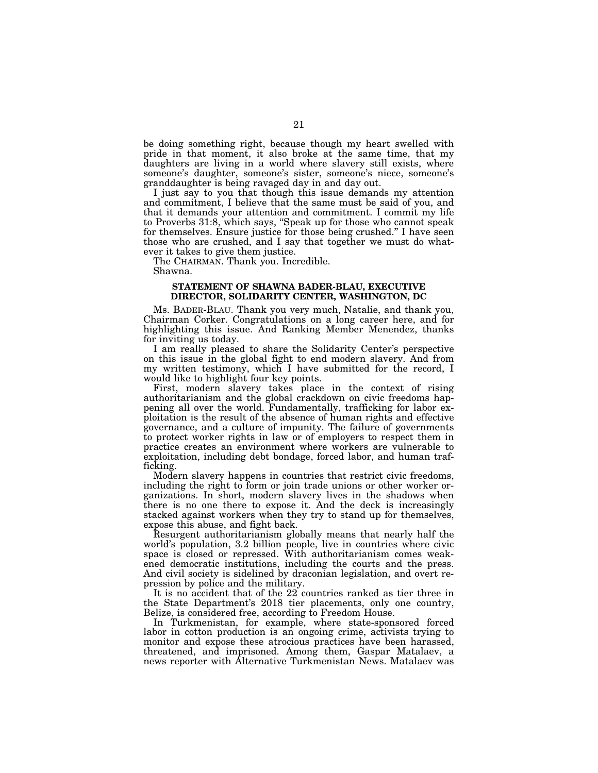be doing something right, because though my heart swelled with pride in that moment, it also broke at the same time, that my daughters are living in a world where slavery still exists, where someone's daughter, someone's sister, someone's niece, someone's granddaughter is being ravaged day in and day out.

I just say to you that though this issue demands my attention and commitment, I believe that the same must be said of you, and that it demands your attention and commitment. I commit my life to Proverbs 31:8, which says, ''Speak up for those who cannot speak for themselves. Ensure justice for those being crushed.'' I have seen those who are crushed, and I say that together we must do whatever it takes to give them justice.

The CHAIRMAN. Thank you. Incredible.

Shawna.

## **STATEMENT OF SHAWNA BADER-BLAU, EXECUTIVE DIRECTOR, SOLIDARITY CENTER, WASHINGTON, DC**

Ms. BADER-BLAU. Thank you very much, Natalie, and thank you, Chairman Corker. Congratulations on a long career here, and for highlighting this issue. And Ranking Member Menendez, thanks for inviting us today.

I am really pleased to share the Solidarity Center's perspective on this issue in the global fight to end modern slavery. And from my written testimony, which I have submitted for the record, I would like to highlight four key points.

First, modern slavery takes place in the context of rising authoritarianism and the global crackdown on civic freedoms happening all over the world. Fundamentally, trafficking for labor exploitation is the result of the absence of human rights and effective governance, and a culture of impunity. The failure of governments to protect worker rights in law or of employers to respect them in practice creates an environment where workers are vulnerable to exploitation, including debt bondage, forced labor, and human trafficking.

Modern slavery happens in countries that restrict civic freedoms, including the right to form or join trade unions or other worker organizations. In short, modern slavery lives in the shadows when there is no one there to expose it. And the deck is increasingly stacked against workers when they try to stand up for themselves, expose this abuse, and fight back.

Resurgent authoritarianism globally means that nearly half the world's population, 3.2 billion people, live in countries where civic space is closed or repressed. With authoritarianism comes weakened democratic institutions, including the courts and the press. And civil society is sidelined by draconian legislation, and overt repression by police and the military.

It is no accident that of the 22 countries ranked as tier three in the State Department's 2018 tier placements, only one country, Belize, is considered free, according to Freedom House.

In Turkmenistan, for example, where state-sponsored forced labor in cotton production is an ongoing crime, activists trying to monitor and expose these atrocious practices have been harassed, threatened, and imprisoned. Among them, Gaspar Matalaev, a news reporter with Alternative Turkmenistan News. Matalaev was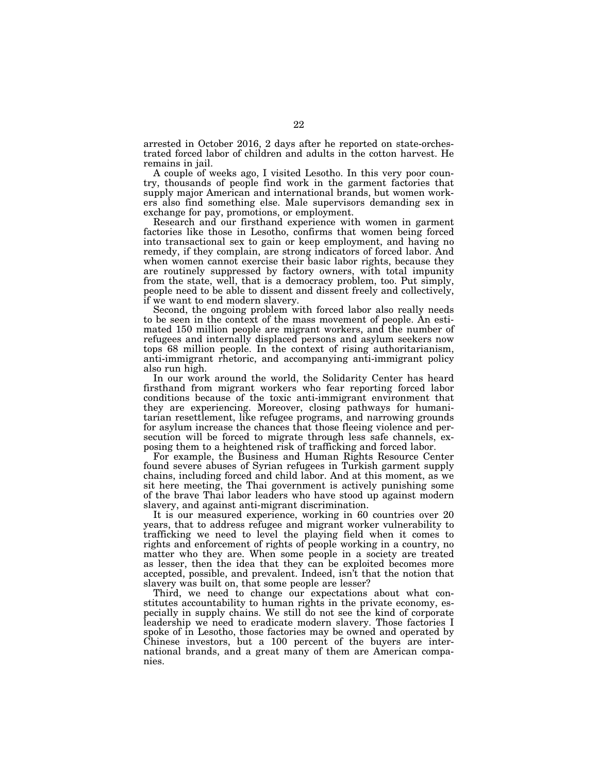arrested in October 2016, 2 days after he reported on state-orchestrated forced labor of children and adults in the cotton harvest. He remains in jail.

A couple of weeks ago, I visited Lesotho. In this very poor country, thousands of people find work in the garment factories that supply major American and international brands, but women workers also find something else. Male supervisors demanding sex in exchange for pay, promotions, or employment.

Research and our firsthand experience with women in garment factories like those in Lesotho, confirms that women being forced into transactional sex to gain or keep employment, and having no remedy, if they complain, are strong indicators of forced labor. And when women cannot exercise their basic labor rights, because they are routinely suppressed by factory owners, with total impunity from the state, well, that is a democracy problem, too. Put simply, people need to be able to dissent and dissent freely and collectively, if we want to end modern slavery.

Second, the ongoing problem with forced labor also really needs to be seen in the context of the mass movement of people. An estimated 150 million people are migrant workers, and the number of refugees and internally displaced persons and asylum seekers now tops 68 million people. In the context of rising authoritarianism, anti-immigrant rhetoric, and accompanying anti-immigrant policy also run high.

In our work around the world, the Solidarity Center has heard firsthand from migrant workers who fear reporting forced labor conditions because of the toxic anti-immigrant environment that they are experiencing. Moreover, closing pathways for humanitarian resettlement, like refugee programs, and narrowing grounds for asylum increase the chances that those fleeing violence and persecution will be forced to migrate through less safe channels, exposing them to a heightened risk of trafficking and forced labor.

For example, the Business and Human Rights Resource Center found severe abuses of Syrian refugees in Turkish garment supply chains, including forced and child labor. And at this moment, as we sit here meeting, the Thai government is actively punishing some of the brave Thai labor leaders who have stood up against modern slavery, and against anti-migrant discrimination.

It is our measured experience, working in 60 countries over 20 years, that to address refugee and migrant worker vulnerability to trafficking we need to level the playing field when it comes to rights and enforcement of rights of people working in a country, no matter who they are. When some people in a society are treated as lesser, then the idea that they can be exploited becomes more accepted, possible, and prevalent. Indeed, isn't that the notion that slavery was built on, that some people are lesser?

Third, we need to change our expectations about what constitutes accountability to human rights in the private economy, especially in supply chains. We still do not see the kind of corporate leadership we need to eradicate modern slavery. Those factories I spoke of in Lesotho, those factories may be owned and operated by Chinese investors, but a 100 percent of the buyers are international brands, and a great many of them are American companies.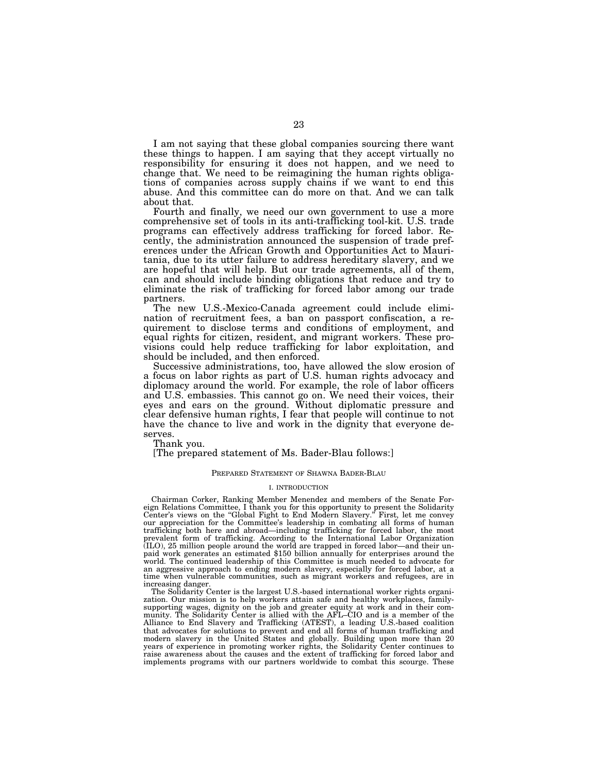I am not saying that these global companies sourcing there want these things to happen. I am saying that they accept virtually no responsibility for ensuring it does not happen, and we need to change that. We need to be reimagining the human rights obligations of companies across supply chains if we want to end this abuse. And this committee can do more on that. And we can talk about that.

Fourth and finally, we need our own government to use a more comprehensive set of tools in its anti-trafficking tool-kit. U.S. trade programs can effectively address trafficking for forced labor. Recently, the administration announced the suspension of trade preferences under the African Growth and Opportunities Act to Mauritania, due to its utter failure to address hereditary slavery, and we are hopeful that will help. But our trade agreements, all of them, can and should include binding obligations that reduce and try to eliminate the risk of trafficking for forced labor among our trade partners.

The new U.S.-Mexico-Canada agreement could include elimination of recruitment fees, a ban on passport confiscation, a requirement to disclose terms and conditions of employment, and equal rights for citizen, resident, and migrant workers. These provisions could help reduce trafficking for labor exploitation, and should be included, and then enforced.

Successive administrations, too, have allowed the slow erosion of a focus on labor rights as part of U.S. human rights advocacy and diplomacy around the world. For example, the role of labor officers and U.S. embassies. This cannot go on. We need their voices, their eyes and ears on the ground. Without diplomatic pressure and clear defensive human rights, I fear that people will continue to not have the chance to live and work in the dignity that everyone deserves.

Thank you.

[The prepared statement of Ms. Bader-Blau follows:]

#### PREPARED STATEMENT OF SHAWNA BADER-BLAU

#### I. INTRODUCTION

Chairman Corker, Ranking Member Menendez and members of the Senate Foreign Relations Committee, I thank you for this opportunity to present the Solidarity<br>Center's views on the "Global Fight to End Modern Slavery." First, let me convey<br>our appreciation for the Committee's leadership in comba trafficking both here and abroad—including trafficking for forced labor, the most prevalent form of trafficking. According to the International Labor Organization (ILO), 25 million people around the world are trapped in forced labor—and their unpaid work generates an estimated \$150 billion annually for enterprises around the world. The continued leadership of this Committee is much needed to advocate for an aggressive approach to ending modern slavery, especially for forced labor, at a time when vulnerable communities, such as migrant workers and refugees, are in

increasing danger. The Solidarity Center is the largest U.S.-based international worker rights organization. Our mission is to help workers attain safe and healthy workplaces, familysupporting wages, dignity on the job and greater equity at work and in their community. The Solidarity Center is allied with the AFL–CIO and is a member of the Alliance to End Slavery and Trafficking (ATEST), a leading U.S.-based coalition that advocates for solutions to prevent and end all forms of human trafficking and modern slavery in the United States and globally. Building upon more than 20 years of experience in promoting worker rights, the Solidarity Center continues to raise awareness about the causes and the extent of trafficking for forced labor and implements programs with our partners worldwide to combat this scourge. These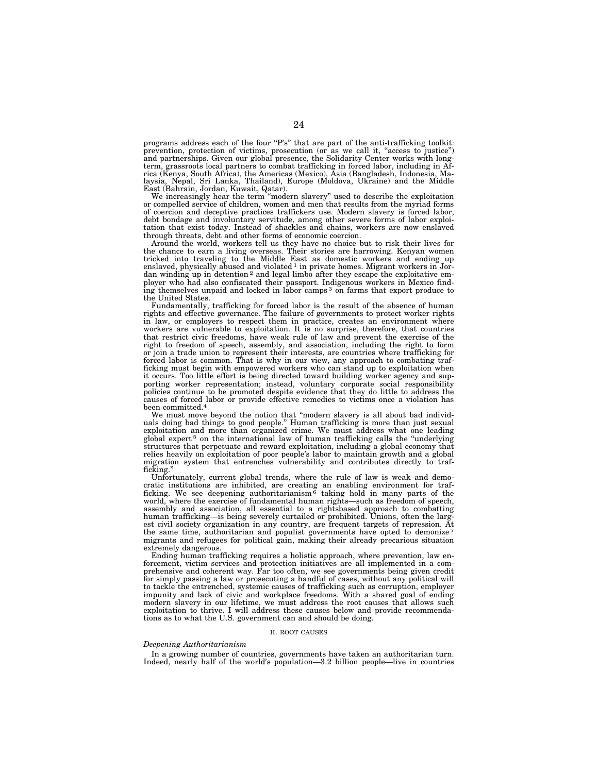programs address each of the four "P's" that are part of the anti-trafficking toolkit: prevention, protection of victims, prosecution (or as we call it, "access to justice")<br>and partnerships. Given our global presence, the Solidarity Center works with long-<br>term, grassroots local partners to combat trafficki rica (Kenya, South Africa), the Americas (Mexico), Asia (Bangladesh, Indonesia, Ma-laysia, Nepal, Sri Lanka, Thailand), Europe (Moldova, Ukraine) and the Middle East (Bahrain, Jordan, Kuwait, Qatar).

We increasingly hear the term ''modern slavery'' used to describe the exploitation or compelled service of children, women and men that results from the myriad forms of coercion and deceptive practices traffickers use. Modern slavery is forced labor, debt bondage and involuntary servitude, among other severe forms of labor exploitation that exist today. Instead of shackles and chains, workers are now enslaved through threats, debt and other forms of economic coercion.

Around the world, workers tell us they have no choice but to risk their lives for the chance to earn a living overseas. Their stories are harrowing. Kenyan women tricked into traveling to the Middle East as domestic workers and ending up enslaved, physically abused and violated 1 in private homes. Migrant workers in Jordan winding up in detention 2 and legal limbo after they escape the exploitative employer who had also confiscated their passport. Indigenous workers in Mexico finding themselves unpaid and locked in labor camps 3 on farms that export produce to the United States.

Fundamentally, trafficking for forced labor is the result of the absence of human rights and effective governance. The failure of governments to protect worker rights in law, or employers to respect them in practice, creates an environment where workers are vulnerable to exploitation. It is no surprise, therefore, that countries that restrict civic freedoms, have weak rule of law and prevent the exercise of the right to freedom of speech, assembly, and association, including the right to form or join a trade union to represent their interests, are countries where trafficking for forced labor is common. That is why in our view, any approach to combating trafficking must begin with empowered workers who can stand up to exploitation when it occurs. Too little effort is being directed toward building worker agency and supporting worker representation; instead, voluntary corporate social responsibility policies continue to be promoted despite evidence that they do little to address the causes of forced labor or provide effective remedies to victims once a violation has been committed.4

We must move beyond the notion that ''modern slavery is all about bad individuals doing bad things to good people.'' Human trafficking is more than just sexual exploitation and more than organized crime. We must address what one leading global expert 5 on the international law of human trafficking calls the ''underlying structures that perpetuate and reward exploitation, including a global economy that relies heavily on exploitation of poor people's labor to maintain growth and a global migration system that entrenches vulnerability and contributes directly to trafficking.

Unfortunately, current global trends, where the rule of law is weak and democratic institutions are inhibited, are creating an enabling environment for traf-ficking. We see deepening authoritarianism 6 taking hold in many parts of the world, where the exercise of fundamental human rights—such as freedom of speech, assembly and association, all essential to a rightsbased approach to combatting human trafficking—is being severely curtailed or prohibited. Unions, often the largest civil society organization in any country, are frequent targets of repression. At the same time, authoritarian and populist governments have opted to demonize 7 migrants and refugees for political gain, making their already precarious situation extremely dangerous.

Ending human trafficking requires a holistic approach, where prevention, law enforcement, victim services and protection initiatives are all implemented in a comprehensive and coherent way. Far too often, we see governments being given credit for simply passing a law or prosecuting a handful of cases, without any political will to tackle the entrenched, systemic causes of trafficking such as corruption, employer impunity and lack of civic and workplace freedoms. With a shared goal of ending modern slavery in our lifetime, we must address the root causes that allows such exploitation to thrive. I will address these causes below and provide recommendations as to what the U.S. government can and should be doing.

## II. ROOT CAUSES

#### *Deepening Authoritarianism*

In a growing number of countries, governments have taken an authoritarian turn. Indeed, nearly half of the world's population—3.2 billion people—live in countries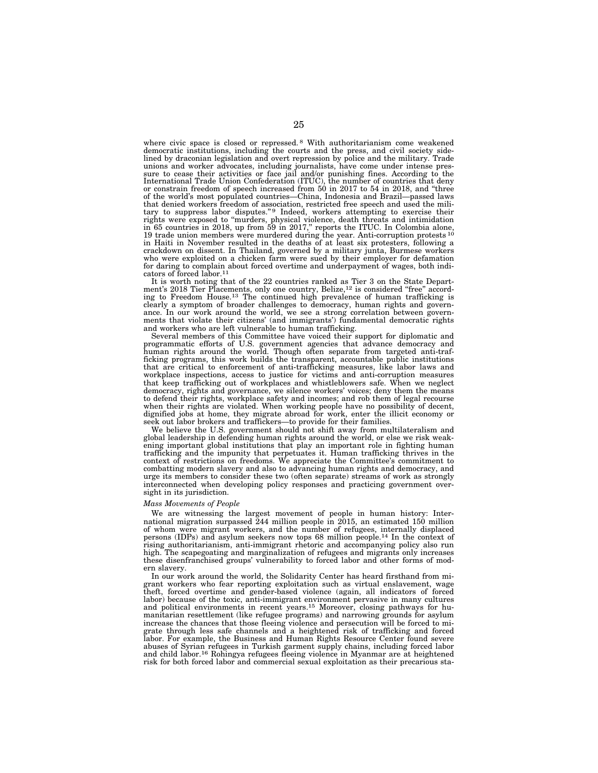where civic space is closed or repressed. 8 With authoritarianism come weakened democratic institutions, including the courts and the press, and civil society side-lined by draconian legislation and overt repression by police and the military. Trade unions and worker advocates, including journalists, have come under intense pressure to cease their activities or face jail and/or punishing fines. According to the<br>International Trade Union Confederation (ITUC), the number of countries that deny<br>or constrain freedom of speech increased from 50 in 201 of the world's most populated countries—China, Indonesia and Brazil—passed laws<br>that denied workers freedom of association, restricted free speech and used the mili-<br>tary to suppress labor disputes." Indeed, workers attemp in 65 countries in 2018, up from 59 in 2017," reports the ITUC. In Colombia alone, 19 trade union members were murdered during the year. Anti-corruption protests <sup>10</sup> in Haiti in November resulted in the deaths of at least six protesters, following a crackdown on dissent. In Thailand, governed by a military junta, Burmese workers who were exploited on a chicken farm were sued by their employer for defamation for daring to complain about forced overtime and underpayment of wages, both indicators of forced labor.11

It is worth noting that of the 22 countries ranked as Tier 3 on the State Department's 2018 Tier Placements, only one country, Belize,<sup>12</sup> is considered "free" accord-<br>ing to Freedom House.<sup>13</sup> The continued high prevalence of human trafficking is clearly a symptom of broader challenges to democracy, human rights and governance. In our work around the world, we see a strong correlation between governments that violate their citizens' (and immigrants') fundamental democratic rights and workers who are left vulnerable to human trafficking.

Several members of this Committee have voiced their support for diplomatic and programmatic efforts of U.S. government agencies that advance democracy and human rights around the world. Though often separate from targeted anti-trafficking programs, this work builds the transparent, accountable public institutions that are critical to enforcement of anti-trafficking measures, like labor laws and workplace inspections, access to justice for victims and anti-corruption measures that keep trafficking out of workplaces and whistleblowers safe. When we neglect democracy, rights and governance, we silence workers' voices; deny them the means to defend their rights, workplace safety and incomes; and rob them of legal recourse when their rights are violated. When working people have no possibility of decent, dignified jobs at home, they migrate abroad for work, enter the illicit economy or seek out labor brokers and traffickers—to provide for their families.

We believe the U.S. government should not shift away from multilateralism and global leadership in defending human rights around the world, or else we risk weakening important global institutions that play an important role in fighting human trafficking and the impunity that perpetuates it. Human trafficking thrives in the context of restrictions on freedoms. We appreciate the Committee's commitment to combatting modern slavery and also to advancing human rights and democracy, and urge its members to consider these two (often separate) streams of work as strongly interconnected when developing policy responses and practicing government oversight in its jurisdiction.

## *Mass Movements of People*

We are witnessing the largest movement of people in human history: International migration surpassed 244 million people in 2015, an estimated 150 million of whom were migrant workers, and the number of refugees, internally displaced persons (IDPs) and asylum seekers now tops 68 million people.14 In the context of rising authoritarianism, anti-immigrant rhetoric and accompanying policy also run high. The scapegoating and marginalization of refugees and migrants only increases these disenfranchised groups' vulnerability to forced labor and other forms of modern slavery.

In our work around the world, the Solidarity Center has heard firsthand from migrant workers who fear reporting exploitation such as virtual enslavement, wage theft, forced overtime and gender-based violence (again, all indicators of forced labor) because of the toxic, anti-immigrant environment pervasive in many cultures and political environments in recent years.<sup>15</sup> Moreover, closing pathways for humanitarian resettlement (like refugee programs) and narrowing grounds for asylum increase the chances that those fleeing violence and persecution will be forced to migrate through less safe channels and a heightened risk of trafficking and forced labor. For example, the Business and Human Rights Resource Center found severe abuses of Syrian refugees in Turkish garment supply chains, including forced labor and child labor.16 Rohingya refugees fleeing violence in Myanmar are at heightened risk for both forced labor and commercial sexual exploitation as their precarious sta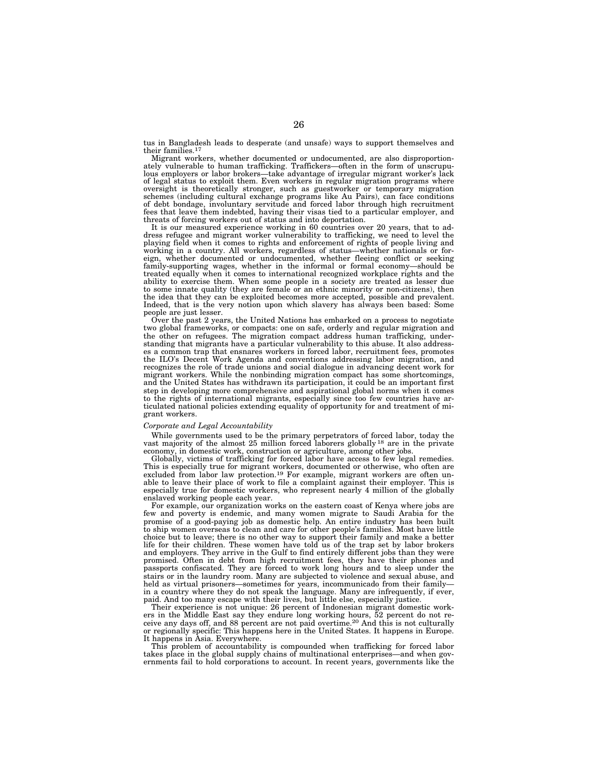tus in Bangladesh leads to desperate (and unsafe) ways to support themselves and their families. $<sup>1</sup>$ </sup>

Migrant workers, whether documented or undocumented, are also disproportionately vulnerable to human trafficking. Traffickers—often in the form of unscrupu-lous employers or labor brokers—take advantage of irregular migrant worker's lack of legal status to exploit them. Even workers in regular migration programs where oversight is theoretically stronger, such as guestworker or temporary migration schemes (including cultural exchange programs like Au Pairs), can face conditions of debt bondage, involuntary servitude and forced labor through high recruitment fees that leave them indebted, having their visas tied to a particular employer, and threats of forcing workers out of status and into deportation.

It is our measured experience working in 60 countries over 20 years, that to address refugee and migrant worker vulnerability to trafficking, we need to level the playing field when it comes to rights and enforcement of rights of people living and working in a country. All workers, regardless of status—whether nationals or foreign, whether documented or undocumented, whether fleeing conflict or seeking family-supporting wages, whether in the informal or formal economy—should be treated equally when it comes to international recognized workplace rights and the ability to exercise them. When some people in a society are treated as lesser due to some innate quality (they are female or an ethnic minority or non-citizens), then the idea that they can be exploited becomes more accepted, possible and prevalent. Indeed, that is the very notion upon which slavery has always been based: Some people are just lesser.

Over the past 2 years, the United Nations has embarked on a process to negotiate two global frameworks, or compacts: one on safe, orderly and regular migration and the other on refugees. The migration compact address human trafficking, understanding that migrants have a particular vulnerability to this abuse. It also addresses a common trap that ensnares workers in forced labor, recruitment fees, promotes the ILO's Decent Work Agenda and conventions addressing labor migration, and recognizes the role of trade unions and social dialogue in advancing decent work for migrant workers. While the nonbinding migration compact has some shortcomings, and the United States has withdrawn its participation, it could be an important first step in developing more comprehensive and aspirational global norms when it comes to the rights of international migrants, especially since too few countries have articulated national policies extending equality of opportunity for and treatment of migrant workers.

## *Corporate and Legal Accountability*

While governments used to be the primary perpetrators of forced labor, today the vast majority of the almost 25 million forced laborers globally <sup>18</sup> are in the private economy, in domestic work, construction or agriculture, among other jobs.

Globally, victims of trafficking for forced labor have access to few legal remedies. This is especially true for migrant workers, documented or otherwise, who often are excluded from labor law protection.<sup>19</sup> For example, migrant workers are often unable to leave their place of work to file a complaint against their employer. This is especially true for domestic workers, who represent nearly 4 million of the globally enslaved working people each year.

For example, our organization works on the eastern coast of Kenya where jobs are few and poverty is endemic, and many women migrate to Saudi Arabia for the promise of a good-paying job as domestic help. An entire industry has been built to ship women overseas to clean and care for other people's families. Most have little choice but to leave; there is no other way to support their family and make a better life for their children. These women have told us of the trap set by labor brokers and employers. They arrive in the Gulf to find entirely different jobs than they were promised. Often in debt from high recruitment fees, they have their phones and passports confiscated. They are forced to work long hours and to sleep under the stairs or in the laundry room. Many are subjected to violence and sexual abuse, and held as virtual prisoners—sometimes for years, incommunicado from their family in a country where they do not speak the language. Many are infrequently, if ever, paid. And too many escape with their lives, but little else, especially justice.

Their experience is not unique: 26 percent of Indonesian migrant domestic workers in the Middle East say they endure long working hours, 52 percent do not receive any days off, and 88 percent are not paid overtime.20 And this is not culturally or regionally specific: This happens here in the United States. It happens in Europe. It happens in Asia. Everywhere.

This problem of accountability is compounded when trafficking for forced labor takes place in the global supply chains of multinational enterprises—and when governments fail to hold corporations to account. In recent years, governments like the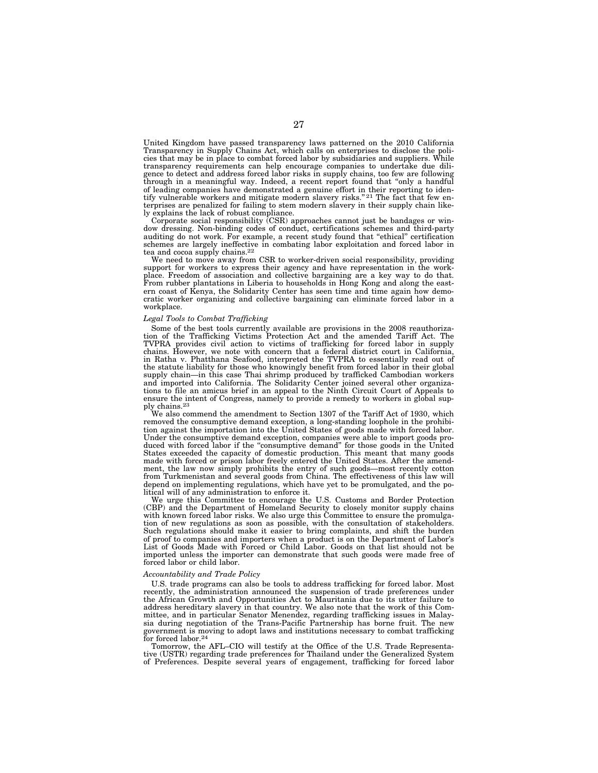United Kingdom have passed transparency laws patterned on the 2010 California Transparency in Supply Chains Act, which calls on enterprises to disclose the policies that may be in place to combat forced labor by subsidiaries and suppliers. While transparency requirements can help encourage companies to undertake due diligence to detect and address forced labor risks in supply chains, too few are following through in a meaningful way. Indeed, a recent report found that ''only a handful of leading companies have demonstrated a genuine effort in their reporting to iden-<br>tify vulnerable workers and mitigate modern slavery risks."<sup>21</sup> The fact that few enterprises are penalized for failing to stem modern slavery in their supply chain likely explains the lack of robust compliance.

Corporate social responsibility (CSR) approaches cannot just be bandages or window dressing. Non-binding codes of conduct, certifications schemes and third-party auditing do not work. For example, a recent study found that "ethical" certification schemes are largely ineffective in combating labor exploitation and forced labor in tea and cocoa supply chains.22

We need to move away from CSR to worker-driven social responsibility, providing support for workers to express their agency and have representation in the workplace. Freedom of association and collective bargaining are a key way to do that. From rubber plantations in Liberia to households in Hong Kong and along the eastern coast of Kenya, the Solidarity Center has seen time and time again how democratic worker organizing and collective bargaining can eliminate forced labor in a workplace.

#### *Legal Tools to Combat Trafficking*

Some of the best tools currently available are provisions in the 2008 reauthorization of the Trafficking Victims Protection Act and the amended Tariff Act. The TVPRA provides civil action to victims of trafficking for forced labor in supply chains. However, we note with concern that a federal district court in California, in Ratha v. Phatthana Seafood, interpreted the TVPRA to essentially read out of the statute liability for those who knowingly benefit from forced labor in their global supply chain—in this case Thai shrimp produced by trafficked Cambodian workers and imported into California. The Solidarity Center joined several other organizations to file an amicus brief in an appeal to the Ninth Circuit Court of Appeals to ensure the intent of Congress, namely to provide a remedy to workers in global supply chains.<sup>23</sup><br>We also commend the amendment to Section 1307 of the Tariff Act of 1930, which

removed the consumptive demand exception, a long-standing loophole in the prohibition against the importation into the United States of goods made with forced labor. Under the consumptive demand exception, companies were able to import goods produced with forced labor if the ''consumptive demand'' for those goods in the United States exceeded the capacity of domestic production. This meant that many goods made with forced or prison labor freely entered the United States. After the amendment, the law now simply prohibits the entry of such goods—most recently cotton from Turkmenistan and several goods from China. The effectiveness of this law will depend on implementing regulations, which have yet to be promulgated, and the political will of any administration to enforce it.

We urge this Committee to encourage the U.S. Customs and Border Protection (CBP) and the Department of Homeland Security to closely monitor supply chains with known forced labor risks. We also urge this Committee to ensure the promulgation of new regulations as soon as possible, with the consultation of stakeholders. Such regulations should make it easier to bring complaints, and shift the burden of proof to companies and importers when a product is on the Department of Labor's List of Goods Made with Forced or Child Labor. Goods on that list should not be imported unless the importer can demonstrate that such goods were made free of forced labor or child labor.

## *Accountability and Trade Policy*

U.S. trade programs can also be tools to address trafficking for forced labor. Most recently, the administration announced the suspension of trade preferences under the African Growth and Opportunities Act to Mauritania due to its utter failure to address hereditary slavery in that country. We also note that the work of this Committee, and in particular Senator Menendez, regarding trafficking issues in Malaysia during negotiation of the Trans-Pacific Partnership has borne fruit. The new government is moving to adopt laws and institutions necessary to combat trafficking for forced labor.24

Tomorrow, the AFL–CIO will testify at the Office of the U.S. Trade Representative (USTR) regarding trade preferences for Thailand under the Generalized System of Preferences. Despite several years of engagement, trafficking for forced labor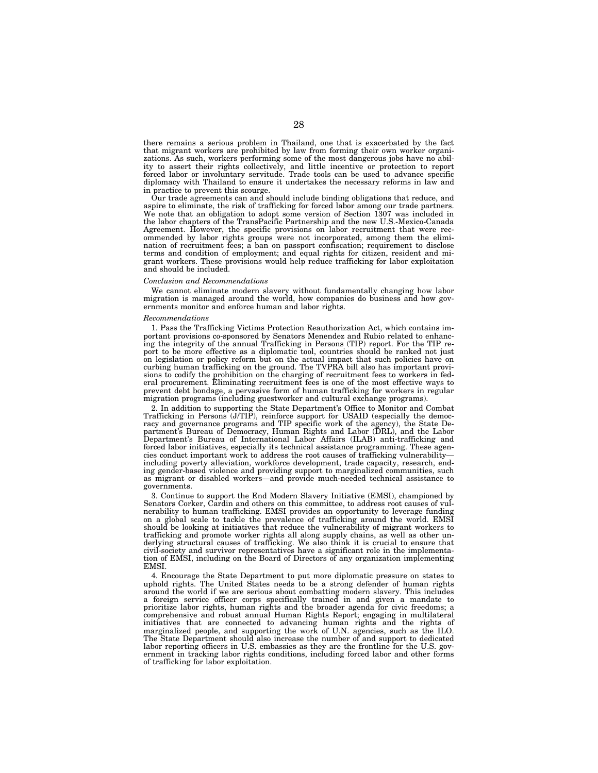there remains a serious problem in Thailand, one that is exacerbated by the fact that migrant workers are prohibited by law from forming their own worker organizations. As such, workers performing some of the most dangerous jobs have no ability to assert their rights collectively, and little incentive or protection to report forced labor or involuntary servitude. Trade tools can be used to advance specific diplomacy with Thailand to ensure it undertakes the necessary reforms in law and in practice to prevent this scourge.

Our trade agreements can and should include binding obligations that reduce, and aspire to eliminate, the risk of trafficking for forced labor among our trade partners. We note that an obligation to adopt some version of Section 1307 was included in the labor chapters of the TransPacific Partnership and the new U.S.-Mexico-Canada Agreement. However, the specific provisions on labor recruitment that were recommended by labor rights groups were not incorporated, among them the elimination of recruitment fees; a ban on passport confiscation; requirement to disclose terms and condition of employment; and equal rights for citizen, resident and migrant workers. These provisions would help reduce trafficking for labor exploitation and should be included.

## *Conclusion and Recommendations*

We cannot eliminate modern slavery without fundamentally changing how labor migration is managed around the world, how companies do business and how governments monitor and enforce human and labor rights.

#### *Recommendations*

1. Pass the Trafficking Victims Protection Reauthorization Act, which contains important provisions co-sponsored by Senators Menendez and Rubio related to enhancing the integrity of the annual Trafficking in Persons (TIP) report. For the TIP report to be more effective as a diplomatic tool, countries should be ranked not just on legislation or policy reform but on the actual impact that such policies have on curbing human trafficking on the ground. The TVPRA bill also has important provisions to codify the prohibition on the charging of recruitment fees to workers in federal procurement. Eliminating recruitment fees is one of the most effective ways to prevent debt bondage, a pervasive form of human trafficking for workers in regular migration programs (including guestworker and cultural exchange programs).

2. In addition to supporting the State Department's Office to Monitor and Combat Trafficking in Persons (J/TIP), reinforce support for USAID (especially the democracy and governance programs and TIP specific work of the agency), the State Department's Bureau of Democracy, Human Rights and Labor (DRL), and the Labor Department's Bureau of International Labor Affairs (ILAB) anti-trafficking and forced labor initiatives, especially its technical assistance programming. These agencies conduct important work to address the root causes of trafficking vulnerability including poverty alleviation, workforce development, trade capacity, research, ending gender-based violence and providing support to marginalized communities, such as migrant or disabled workers—and provide much-needed technical assistance to governments.

3. Continue to support the End Modern Slavery Initiative (EMSI), championed by Senators Corker, Cardin and others on this committee, to address root causes of vulnerability to human trafficking. EMSI provides an opportunity to leverage funding on a global scale to tackle the prevalence of trafficking around the world. EMSI should be looking at initiatives that reduce the vulnerability of migrant workers to trafficking and promote worker rights all along supply chains, as well as other underlying structural causes of trafficking. We also think it is crucial to ensure that civil-society and survivor representatives have a significant role in the implementation of EMSI, including on the Board of Directors of any organization implementing EMSI.

4. Encourage the State Department to put more diplomatic pressure on states to uphold rights. The United States needs to be a strong defender of human rights around the world if we are serious about combatting modern slavery. This includes a foreign service officer corps specifically trained in and given a mandate to prioritize labor rights, human rights and the broader agenda for civic freedoms; a comprehensive and robust annual Human Rights Report; engaging in multilateral initiatives that are connected to advancing human rights and the rights of marginalized people, and supporting the work of U.N. agencies, such as the ILO. The State Department should also increase the number of and support to dedicated labor reporting officers in U.S. embassies as they are the frontline for the U.S. government in tracking labor rights conditions, including forced labor and other forms of trafficking for labor exploitation.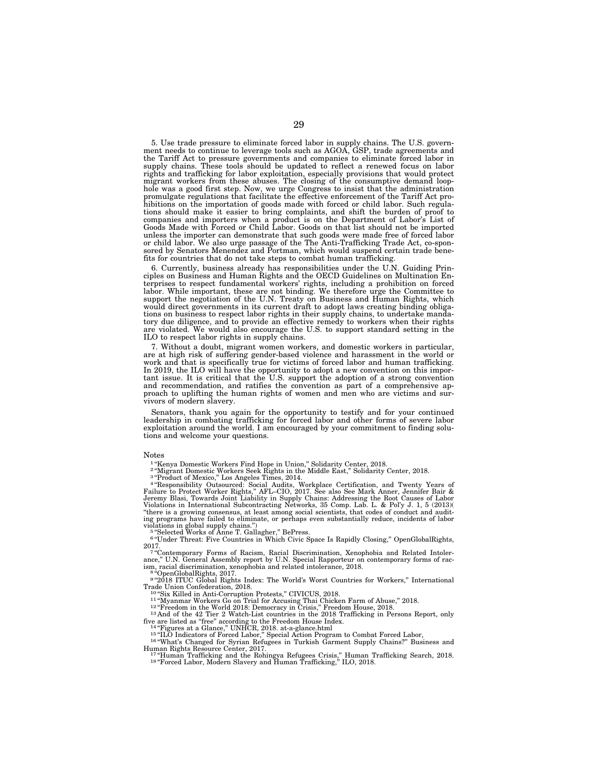5. Use trade pressure to eliminate forced labor in supply chains. The U.S. government needs to continue to leverage tools such as AGOA, GSP, trade agreements and the Tariff Act to pressure governments and companies to eliminate forced labor in supply chains. These tools should be updated to reflect a renewed focus on labor rights and trafficking for labor exploitation, especially provisions that would protect migrant workers from these abuses. The closing of the consumptive demand loop-<br>hole was a good first step. Now, we urge Congress to insist that the administration<br>promulgate regulations that facilitate the effective enforc unless the importer can demonstrate that such goods were made free of forced labor or child labor. We also urge passage of the The Anti-Trafficking Trade Act, co-spon-sored by Senators Menendez and Portman, which would suspend certain trade benefits for countries that do not take steps to combat human trafficking.

6. Currently, business already has responsibilities under the U.N. Guiding Prin-ciples on Business and Human Rights and the OECD Guidelines on Multination Enterprises to respect fundamental workers' rights, including a prohibition on forced labor. While important, these are not binding. We therefore urge the Committee to support the negotiation of the U.N. Treaty on Business and Human Rights, which would direct governments in its current draft to adopt laws creating binding obligations on business to respect labor rights in their supply chains, to undertake mandatory due diligence, and to provide an effective remedy to workers when their rights are violated. We would also encourage the U.S. to support standard setting in the ILO to respect labor rights in supply chains.

7. Without a doubt, migrant women workers, and domestic workers in particular, are at high risk of suffering gender-based violence and harassment in the world or work and that is specifically true for victims of forced labor and human trafficking. In 2019, the ILO will have the opportunity to adopt a new convention on this important issue. It is critical that the U.S. support the adoption of a strong convention and recommendation, and ratifies the convention as part of a comprehensive approach to uplifting the human rights of women and men who are victims and survivors of modern slavery.

Senators, thank you again for the opportunity to testify and for your continued leadership in combating trafficking for forced labor and other forms of severe labor exploitation around the world. I am encouraged by your commitment to finding solutions and welcome your questions.

#### Notes

<sup>1</sup>"Kenya Domestic Workers Find Hope in Union," Solidarity Center, 2018.

<sup>2</sup> "Migrant Domestic Workers Seek Rights in the Middle East," Solidarity Center, 2018.<br><sup>3</sup> "Product of Mexico," Los Angeles Times, 2014.<br><sup>4</sup> "Responsibility Outsourced: Social Audits, Workplace Certification, and Twenty Y ''there is a growing consensus, at least among social scientists, that codes of conduct and auditing programs have failed to eliminate, or perhaps even substantially reduce, incidents of labor

violations in global supply chains.")<br><sup>5 a</sup>"Selected Works of Anne T. Gallagher," BePress.<br><sup>6 a</sup>"Under Threat: Five Countries in Which Civic Space Is Rapidly Closing," OpenGlobalRights,

2017.<br>7 "Contemporary Forms of Racism, Racial Discrimination, Xenophobia and Related Intoler-<br>ance," U.N. General Assembly report by U.N. Special Rapporteur on contemporary forms of racism, racial discrimination, xenophobia and related intolerance, 2018.<br><sup>8 ''O</sup>DenGlobalRights, 2017.<br><sup>9 "</sup>2018 ITUC Global Rights Index: The World's Worst Countries for Workers," International

Trade Union Confederation, 2018.<br>
<sup>10</sup> "Six Killed in Anti-Corruption Protests," CIVICUS, 2018.<br>
<sup>11</sup> "Myanmar Workers Go on Trial for Accusing Thai Chicken Farm of Abuse," 2018.<br>
<sup>12</sup> "Freedom in the World 2018: Democrac

<sup>13</sup> And of the 42 Tier 2 Watch-List countries in the 2018 Trafficking in Persons Report, only<br>five are listed as "free" according to the Freedom House Index.<br><sup>14</sup> "Figures at a Glance," UNHCR, 2018. at-a-glance.html<br><sup>15</sup>

 $\frac{17}{4}$ "Human Trafficking and the Rohingya Refugees Crisis," Human Trafficking Search, 2018.<br><sup>18 "</sup>Forced Labor, Modern Slavery and Human Trafficking," ILO, 2018.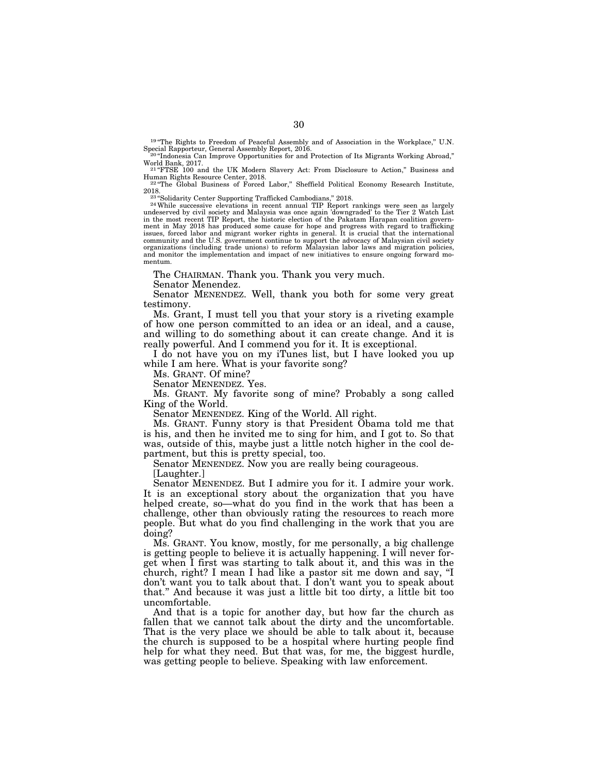<sup>19</sup> "The Rights to Freedom of Peaceful Assembly and of Association in the Workplace," U.N. Special Rapporteur, General Assembly Report, 2016.

 $^{20}$ "Indonesia Can Improve Opportunities for and Protection of Its Migrants Working Abroad," World Bank, 2017. <sup>21</sup> "FTSE 100 and the UK Modern Slavery Act: From Disclosure to Action," Business and

Human Rights Resource Center, 2018.<br><sup>22 "</sup>The Global Business of Forced Labor," Sheffield Political Economy Research Institute,<br>2018.

2018.<br><sup>234</sup>Solidarity Center Supporting Trafficked Cambodians," 2018.<br><sup>24</sup>While successive elevations in recent annual TIP Report rankings were seen as largely<br>undeserved by civil society and Malaysia was once again 'downg in the most recent TIP Report, the historic election of the Pakatam Harapan coalition government in May 2018 has produced some cause for hope and progress with regard to trafficking issues, forced labor and migrant worker rights in general. It is crucial that the international community and the U.S. government continue to support the advocacy of Malaysian civil society organizations (including trade unions) to reform Malaysian labor laws and migration policies, and monitor the implementation and impact of new initiatives to ensure ongoing forward momentum.

The CHAIRMAN. Thank you. Thank you very much.

Senator Menendez.

Senator MENENDEZ. Well, thank you both for some very great testimony.

Ms. Grant, I must tell you that your story is a riveting example of how one person committed to an idea or an ideal, and a cause, and willing to do something about it can create change. And it is really powerful. And I commend you for it. It is exceptional.

I do not have you on my iTunes list, but I have looked you up while I am here. What is your favorite song?

Ms. GRANT. Of mine?

Senator MENENDEZ. Yes.

Ms. GRANT. My favorite song of mine? Probably a song called King of the World.

Senator MENENDEZ. King of the World. All right.

Ms. GRANT. Funny story is that President Obama told me that is his, and then he invited me to sing for him, and I got to. So that was, outside of this, maybe just a little notch higher in the cool department, but this is pretty special, too.

Senator MENENDEZ. Now you are really being courageous.

[Laughter.]

Senator MENENDEZ. But I admire you for it. I admire your work. It is an exceptional story about the organization that you have helped create, so—what do you find in the work that has been a challenge, other than obviously rating the resources to reach more people. But what do you find challenging in the work that you are doing?

Ms. GRANT. You know, mostly, for me personally, a big challenge is getting people to believe it is actually happening. I will never forget when I first was starting to talk about it, and this was in the church, right? I mean I had like a pastor sit me down and say, ''I don't want you to talk about that. I don't want you to speak about that.'' And because it was just a little bit too dirty, a little bit too uncomfortable.

And that is a topic for another day, but how far the church as fallen that we cannot talk about the dirty and the uncomfortable. That is the very place we should be able to talk about it, because the church is supposed to be a hospital where hurting people find help for what they need. But that was, for me, the biggest hurdle, was getting people to believe. Speaking with law enforcement.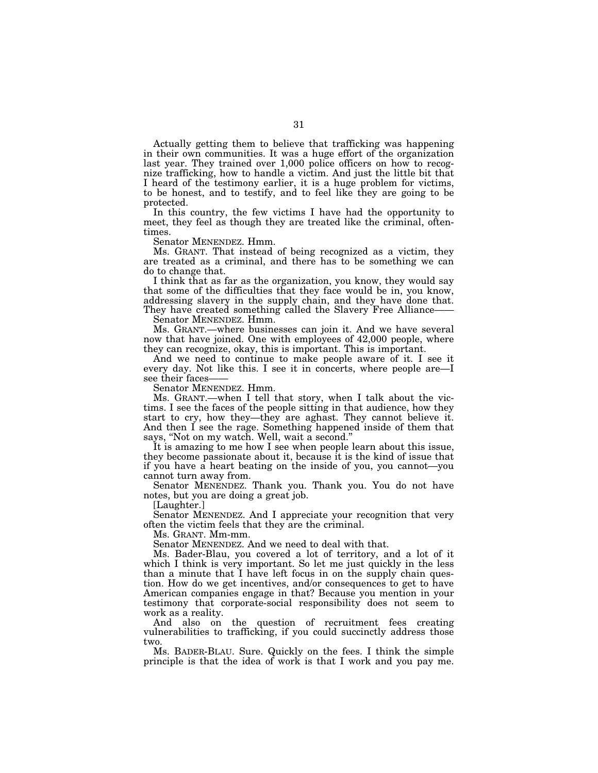Actually getting them to believe that trafficking was happening in their own communities. It was a huge effort of the organization last year. They trained over 1,000 police officers on how to recognize trafficking, how to handle a victim. And just the little bit that I heard of the testimony earlier, it is a huge problem for victims, to be honest, and to testify, and to feel like they are going to be protected.

In this country, the few victims I have had the opportunity to meet, they feel as though they are treated like the criminal, oftentimes.

Senator MENENDEZ. Hmm.

Ms. GRANT. That instead of being recognized as a victim, they are treated as a criminal, and there has to be something we can do to change that.

I think that as far as the organization, you know, they would say that some of the difficulties that they face would be in, you know, addressing slavery in the supply chain, and they have done that. They have created something called the Slavery Free Alliance—

Senator MENENDEZ. Hmm.

Ms. GRANT.—where businesses can join it. And we have several now that have joined. One with employees of 42,000 people, where they can recognize, okay, this is important. This is important.

And we need to continue to make people aware of it. I see it every day. Not like this. I see it in concerts, where people are—I see their faces-

Senator MENENDEZ. Hmm.

Ms. GRANT.—when I tell that story, when I talk about the victims. I see the faces of the people sitting in that audience, how they start to cry, how they—they are aghast. They cannot believe it. And then I see the rage. Something happened inside of them that says, ''Not on my watch. Well, wait a second.''

It is amazing to me how I see when people learn about this issue, they become passionate about it, because it is the kind of issue that if you have a heart beating on the inside of you, you cannot—you cannot turn away from.

Senator MENENDEZ. Thank you. Thank you. You do not have notes, but you are doing a great job.

[Laughter.]

Senator MENENDEZ. And I appreciate your recognition that very often the victim feels that they are the criminal.

Ms. GRANT. Mm-mm.

Senator MENENDEZ. And we need to deal with that.

Ms. Bader-Blau, you covered a lot of territory, and a lot of it which I think is very important. So let me just quickly in the less than a minute that I have left focus in on the supply chain question. How do we get incentives, and/or consequences to get to have American companies engage in that? Because you mention in your testimony that corporate-social responsibility does not seem to work as a reality.

And also on the question of recruitment fees creating vulnerabilities to trafficking, if you could succinctly address those two.

Ms. BADER-BLAU. Sure. Quickly on the fees. I think the simple principle is that the idea of work is that I work and you pay me.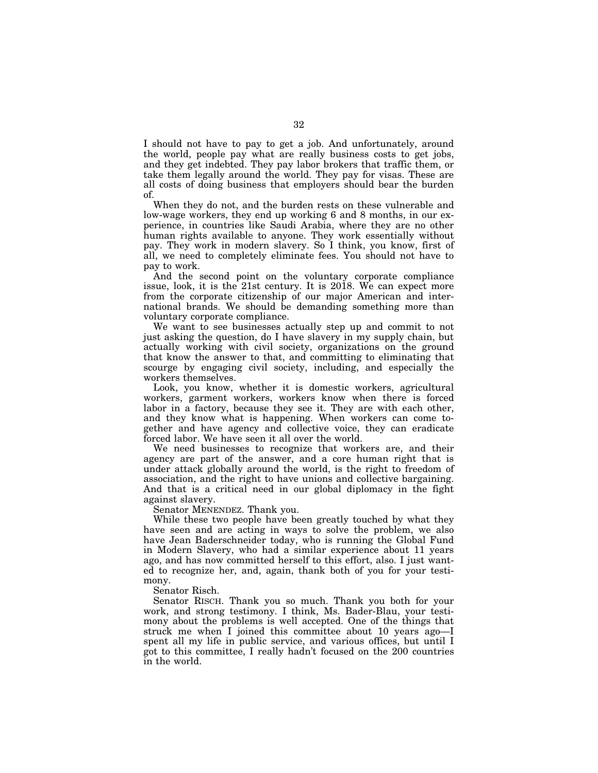I should not have to pay to get a job. And unfortunately, around the world, people pay what are really business costs to get jobs, and they get indebted. They pay labor brokers that traffic them, or take them legally around the world. They pay for visas. These are all costs of doing business that employers should bear the burden of.

When they do not, and the burden rests on these vulnerable and low-wage workers, they end up working 6 and 8 months, in our experience, in countries like Saudi Arabia, where they are no other human rights available to anyone. They work essentially without pay. They work in modern slavery. So I think, you know, first of all, we need to completely eliminate fees. You should not have to pay to work.

And the second point on the voluntary corporate compliance issue, look, it is the 21st century. It is 2018. We can expect more from the corporate citizenship of our major American and international brands. We should be demanding something more than voluntary corporate compliance.

We want to see businesses actually step up and commit to not just asking the question, do I have slavery in my supply chain, but actually working with civil society, organizations on the ground that know the answer to that, and committing to eliminating that scourge by engaging civil society, including, and especially the workers themselves.

Look, you know, whether it is domestic workers, agricultural workers, garment workers, workers know when there is forced labor in a factory, because they see it. They are with each other, and they know what is happening. When workers can come together and have agency and collective voice, they can eradicate forced labor. We have seen it all over the world.

We need businesses to recognize that workers are, and their agency are part of the answer, and a core human right that is under attack globally around the world, is the right to freedom of association, and the right to have unions and collective bargaining. And that is a critical need in our global diplomacy in the fight against slavery.

Senator MENENDEZ. Thank you.

While these two people have been greatly touched by what they have seen and are acting in ways to solve the problem, we also have Jean Baderschneider today, who is running the Global Fund in Modern Slavery, who had a similar experience about 11 years ago, and has now committed herself to this effort, also. I just wanted to recognize her, and, again, thank both of you for your testimony.

Senator Risch.

Senator RISCH. Thank you so much. Thank you both for your work, and strong testimony. I think, Ms. Bader-Blau, your testimony about the problems is well accepted. One of the things that struck me when I joined this committee about 10 years ago—I spent all my life in public service, and various offices, but until I got to this committee, I really hadn't focused on the 200 countries in the world.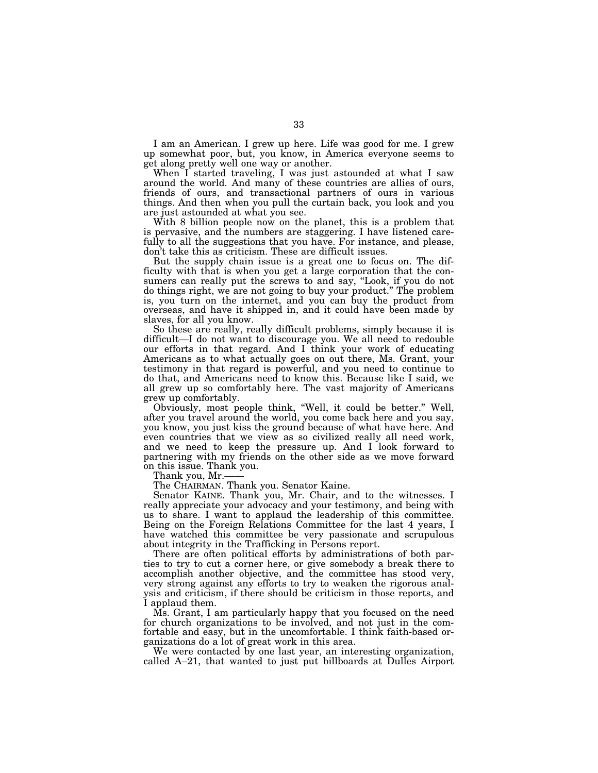I am an American. I grew up here. Life was good for me. I grew up somewhat poor, but, you know, in America everyone seems to get along pretty well one way or another.

When I started traveling, I was just astounded at what I saw around the world. And many of these countries are allies of ours, friends of ours, and transactional partners of ours in various things. And then when you pull the curtain back, you look and you are just astounded at what you see.

With 8 billion people now on the planet, this is a problem that is pervasive, and the numbers are staggering. I have listened carefully to all the suggestions that you have. For instance, and please, don't take this as criticism. These are difficult issues.

But the supply chain issue is a great one to focus on. The difficulty with that is when you get a large corporation that the consumers can really put the screws to and say, ''Look, if you do not do things right, we are not going to buy your product.'' The problem is, you turn on the internet, and you can buy the product from overseas, and have it shipped in, and it could have been made by slaves, for all you know.

So these are really, really difficult problems, simply because it is difficult—I do not want to discourage you. We all need to redouble our efforts in that regard. And I think your work of educating Americans as to what actually goes on out there, Ms. Grant, your testimony in that regard is powerful, and you need to continue to do that, and Americans need to know this. Because like I said, we all grew up so comfortably here. The vast majority of Americans grew up comfortably.

Obviously, most people think, ''Well, it could be better.'' Well, after you travel around the world, you come back here and you say, you know, you just kiss the ground because of what have here. And even countries that we view as so civilized really all need work, and we need to keep the pressure up. And I look forward to partnering with my friends on the other side as we move forward on this issue. Thank you.

Thank you, Mr.

The CHAIRMAN. Thank you. Senator Kaine.

Senator KAINE. Thank you, Mr. Chair, and to the witnesses. I really appreciate your advocacy and your testimony, and being with us to share. I want to applaud the leadership of this committee. Being on the Foreign Relations Committee for the last 4 years, I have watched this committee be very passionate and scrupulous about integrity in the Trafficking in Persons report.

There are often political efforts by administrations of both parties to try to cut a corner here, or give somebody a break there to accomplish another objective, and the committee has stood very, very strong against any efforts to try to weaken the rigorous analysis and criticism, if there should be criticism in those reports, and I applaud them.

Ms. Grant, I am particularly happy that you focused on the need for church organizations to be involved, and not just in the comfortable and easy, but in the uncomfortable. I think faith-based organizations do a lot of great work in this area.

We were contacted by one last year, an interesting organization, called A–21, that wanted to just put billboards at Dulles Airport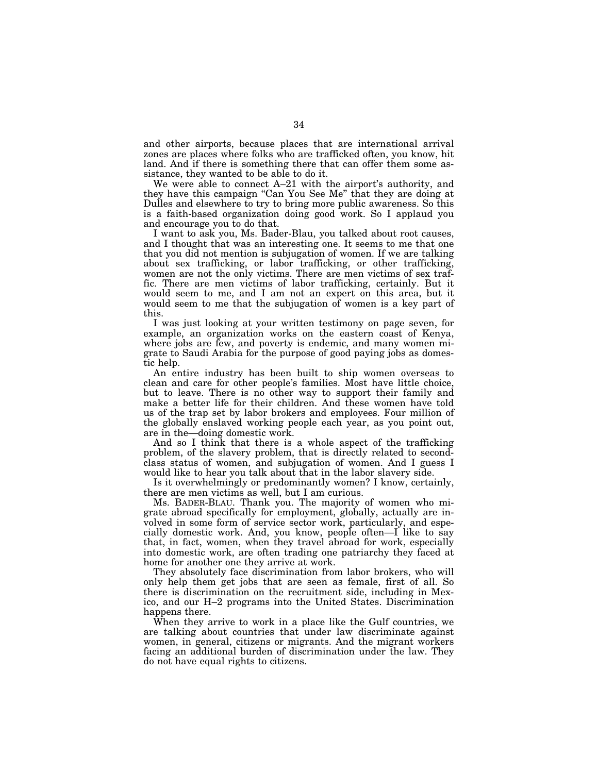and other airports, because places that are international arrival zones are places where folks who are trafficked often, you know, hit land. And if there is something there that can offer them some assistance, they wanted to be able to do it.

We were able to connect A–21 with the airport's authority, and they have this campaign ''Can You See Me'' that they are doing at Dulles and elsewhere to try to bring more public awareness. So this is a faith-based organization doing good work. So I applaud you and encourage you to do that.

I want to ask you, Ms. Bader-Blau, you talked about root causes, and I thought that was an interesting one. It seems to me that one that you did not mention is subjugation of women. If we are talking about sex trafficking, or labor trafficking, or other trafficking, women are not the only victims. There are men victims of sex traffic. There are men victims of labor trafficking, certainly. But it would seem to me, and I am not an expert on this area, but it would seem to me that the subjugation of women is a key part of this.

I was just looking at your written testimony on page seven, for example, an organization works on the eastern coast of Kenya, where jobs are few, and poverty is endemic, and many women migrate to Saudi Arabia for the purpose of good paying jobs as domestic help.

An entire industry has been built to ship women overseas to clean and care for other people's families. Most have little choice, but to leave. There is no other way to support their family and make a better life for their children. And these women have told us of the trap set by labor brokers and employees. Four million of the globally enslaved working people each year, as you point out, are in the—doing domestic work.

And so I think that there is a whole aspect of the trafficking problem, of the slavery problem, that is directly related to secondclass status of women, and subjugation of women. And I guess I would like to hear you talk about that in the labor slavery side.

Is it overwhelmingly or predominantly women? I know, certainly, there are men victims as well, but I am curious.

Ms. BADER-BLAU. Thank you. The majority of women who migrate abroad specifically for employment, globally, actually are involved in some form of service sector work, particularly, and especially domestic work. And, you know, people often—I like to say that, in fact, women, when they travel abroad for work, especially into domestic work, are often trading one patriarchy they faced at home for another one they arrive at work.

They absolutely face discrimination from labor brokers, who will only help them get jobs that are seen as female, first of all. So there is discrimination on the recruitment side, including in Mexico, and our H–2 programs into the United States. Discrimination happens there.

When they arrive to work in a place like the Gulf countries, we are talking about countries that under law discriminate against women, in general, citizens or migrants. And the migrant workers facing an additional burden of discrimination under the law. They do not have equal rights to citizens.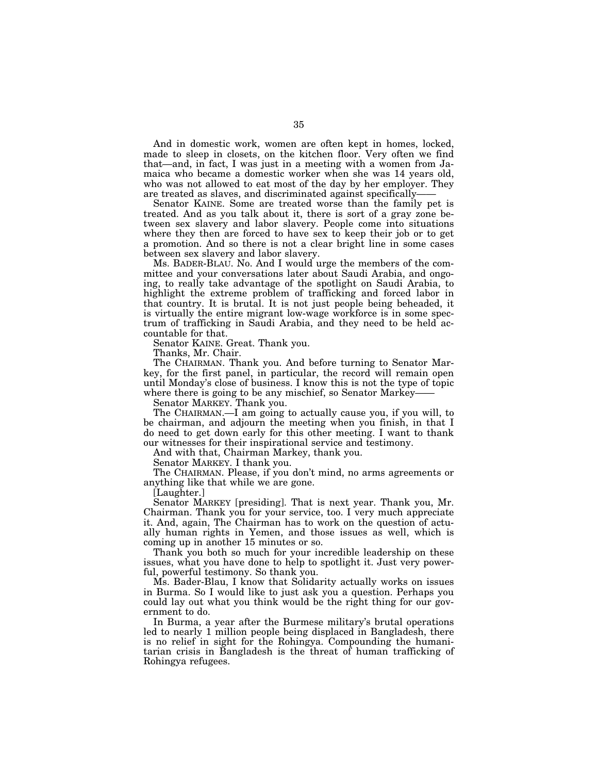And in domestic work, women are often kept in homes, locked, made to sleep in closets, on the kitchen floor. Very often we find that—and, in fact, I was just in a meeting with a women from Jamaica who became a domestic worker when she was 14 years old, who was not allowed to eat most of the day by her employer. They are treated as slaves, and discriminated against specifically-

Senator KAINE. Some are treated worse than the family pet is treated. And as you talk about it, there is sort of a gray zone between sex slavery and labor slavery. People come into situations where they then are forced to have sex to keep their job or to get a promotion. And so there is not a clear bright line in some cases between sex slavery and labor slavery.

Ms. BADER-BLAU. No. And I would urge the members of the committee and your conversations later about Saudi Arabia, and ongoing, to really take advantage of the spotlight on Saudi Arabia, to highlight the extreme problem of trafficking and forced labor in that country. It is brutal. It is not just people being beheaded, it is virtually the entire migrant low-wage workforce is in some spectrum of trafficking in Saudi Arabia, and they need to be held accountable for that.

Senator KAINE. Great. Thank you.

Thanks, Mr. Chair.

The CHAIRMAN. Thank you. And before turning to Senator Markey, for the first panel, in particular, the record will remain open until Monday's close of business. I know this is not the type of topic where there is going to be any mischief, so Senator Markey-

Senator MARKEY. Thank you.

The CHAIRMAN.—I am going to actually cause you, if you will, to be chairman, and adjourn the meeting when you finish, in that I do need to get down early for this other meeting. I want to thank our witnesses for their inspirational service and testimony.

And with that, Chairman Markey, thank you.

Senator MARKEY. I thank you.

The CHAIRMAN. Please, if you don't mind, no arms agreements or anything like that while we are gone.

[Laughter.]

Senator MARKEY [presiding]. That is next year. Thank you, Mr. Chairman. Thank you for your service, too. I very much appreciate it. And, again, The Chairman has to work on the question of actually human rights in Yemen, and those issues as well, which is coming up in another 15 minutes or so.

Thank you both so much for your incredible leadership on these issues, what you have done to help to spotlight it. Just very powerful, powerful testimony. So thank you.

Ms. Bader-Blau, I know that Solidarity actually works on issues in Burma. So I would like to just ask you a question. Perhaps you could lay out what you think would be the right thing for our government to do.

In Burma, a year after the Burmese military's brutal operations led to nearly 1 million people being displaced in Bangladesh, there is no relief in sight for the Rohingya. Compounding the humanitarian crisis in Bangladesh is the threat of human trafficking of Rohingya refugees.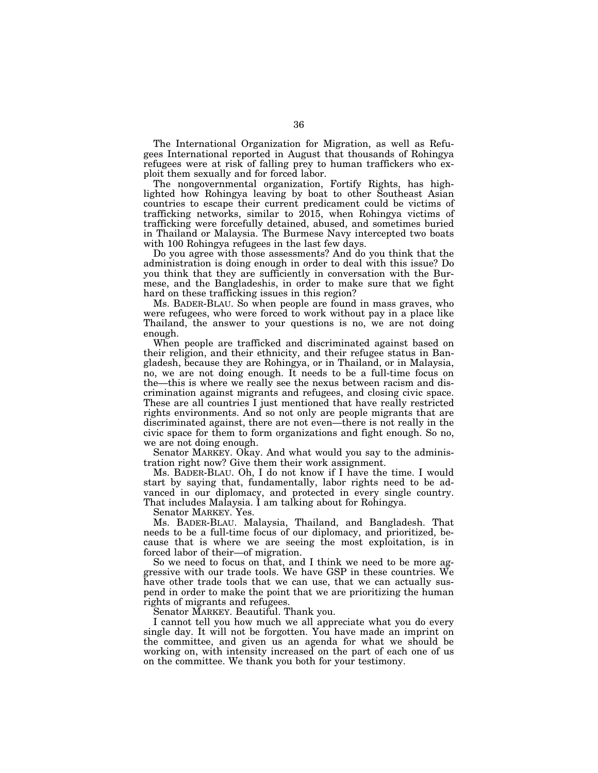The International Organization for Migration, as well as Refugees International reported in August that thousands of Rohingya refugees were at risk of falling prey to human traffickers who exploit them sexually and for forced labor.

The nongovernmental organization, Fortify Rights, has highlighted how Rohingya leaving by boat to other Southeast Asian countries to escape their current predicament could be victims of trafficking networks, similar to 2015, when Rohingya victims of trafficking were forcefully detained, abused, and sometimes buried in Thailand or Malaysia. The Burmese Navy intercepted two boats with 100 Rohingya refugees in the last few days.

Do you agree with those assessments? And do you think that the administration is doing enough in order to deal with this issue? Do you think that they are sufficiently in conversation with the Burmese, and the Bangladeshis, in order to make sure that we fight hard on these trafficking issues in this region?

Ms. BADER-BLAU. So when people are found in mass graves, who were refugees, who were forced to work without pay in a place like Thailand, the answer to your questions is no, we are not doing enough.

When people are trafficked and discriminated against based on their religion, and their ethnicity, and their refugee status in Bangladesh, because they are Rohingya, or in Thailand, or in Malaysia, no, we are not doing enough. It needs to be a full-time focus on the—this is where we really see the nexus between racism and discrimination against migrants and refugees, and closing civic space. These are all countries I just mentioned that have really restricted rights environments. And so not only are people migrants that are discriminated against, there are not even—there is not really in the civic space for them to form organizations and fight enough. So no, we are not doing enough.

Senator MARKEY. Okay. And what would you say to the administration right now? Give them their work assignment.

Ms. BADER-BLAU. Oh, I do not know if I have the time. I would start by saying that, fundamentally, labor rights need to be advanced in our diplomacy, and protected in every single country. That includes Malaysia. I am talking about for Rohingya.

Senator MARKEY. Yes.

Ms. BADER-BLAU. Malaysia, Thailand, and Bangladesh. That needs to be a full-time focus of our diplomacy, and prioritized, because that is where we are seeing the most exploitation, is in forced labor of their—of migration.

So we need to focus on that, and I think we need to be more aggressive with our trade tools. We have GSP in these countries. We have other trade tools that we can use, that we can actually suspend in order to make the point that we are prioritizing the human rights of migrants and refugees.

Senator MARKEY. Beautiful. Thank you.

I cannot tell you how much we all appreciate what you do every single day. It will not be forgotten. You have made an imprint on the committee, and given us an agenda for what we should be working on, with intensity increased on the part of each one of us on the committee. We thank you both for your testimony.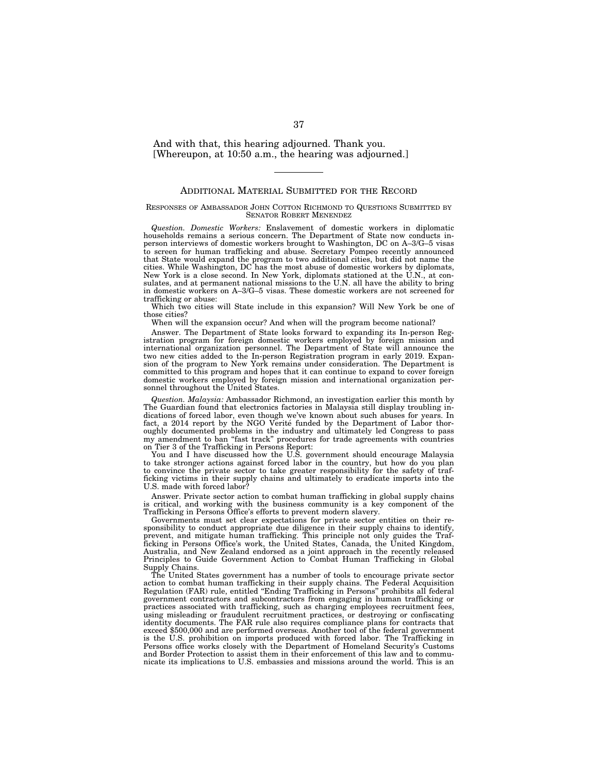And with that, this hearing adjourned. Thank you. [Whereupon, at 10:50 a.m., the hearing was adjourned.]

## ADDITIONAL MATERIAL SUBMITTED FOR THE RECORD

#### RESPONSES OF AMBASSADOR JOHN COTTON RICHMOND TO QUESTIONS SUBMITTED BY SENATOR ROBERT MENENDEZ

*Question. Domestic Workers:* Enslavement of domestic workers in diplomatic households remains a serious concern. The Department of State now conducts inperson interviews of domestic workers brought to Washington, DC on A–3/G–5 visas to screen for human trafficking and abuse. Secretary Pompeo recently announced that State would expand the program to two additional cities, but did not name the cities. While Washington, DC has the most abuse of domestic workers by diplomats, New York is a close second. In New York, diplomats stationed at the U.N., at consulates, and at permanent national missions to the U.N. all have the ability to bring in domestic workers on A–3/G–5 visas. These domestic workers are not screened for trafficking or abuse:

Which two cities will State include in this expansion? Will New York be one of those cities?

When will the expansion occur? And when will the program become national?

Answer. The Department of State looks forward to expanding its In-person Registration program for foreign domestic workers employed by foreign mission and international organization personnel. The Department of State will announce the two new cities added to the In-person Registration program in early 2019. Expansion of the program to New York remains under consideration. The Department is committed to this program and hopes that it can continue to expand to cover foreign domestic workers employed by foreign mission and international organization personnel throughout the United States.

*Question. Malaysia:* Ambassador Richmond, an investigation earlier this month by The Guardian found that electronics factories in Malaysia still display troubling indications of forced labor, even though we've known about such abuses for years. In fact, a 2014 report by the NGO Verité funded by the Department of Labor thoroughly documented problems in the industry and ultimately led Congress to pass my amendment to ban ''fast track'' procedures for trade agreements with countries on Tier 3 of the Trafficking in Persons Report:

You and I have discussed how the U.S. government should encourage Malaysia to take stronger actions against forced labor in the country, but how do you plan to convince the private sector to take greater responsibility for the safety of trafficking victims in their supply chains and ultimately to eradicate imports into the U.S. made with forced labor?

Answer. Private sector action to combat human trafficking in global supply chains is critical, and working with the business community is a key component of the Trafficking in Persons Office's efforts to prevent modern slavery.

Governments must set clear expectations for private sector entities on their responsibility to conduct appropriate due diligence in their supply chains to identify, prevent, and mitigate human trafficking. This principle not only guides the Trafficking in Persons Office's work, the United States, Canada, the United Kingdom, Australia, and New Zealand endorsed as a joint approach in the recently released Principles to Guide Government Action to Combat Human Trafficking in Global Supply Chains.

The United States government has a number of tools to encourage private sector action to combat human trafficking in their supply chains. The Federal Acquisition Regulation (FAR) rule, entitled ''Ending Trafficking in Persons'' prohibits all federal government contractors and subcontractors from engaging in human trafficking or practices associated with trafficking, such as charging employees recruitment fees, using misleading or fraudulent recruitment practices, or destroying or confiscating identity documents. The FAR rule also requires compliance plans for contracts that exceed \$500,000 and are performed overseas. Another tool of the federal government is the U.S. prohibition on imports produced with forced labor. The Trafficking in Persons office works closely with the Department of Homeland Security's Customs and Border Protection to assist them in their enforcement of this law and to communicate its implications to U.S. embassies and missions around the world. This is an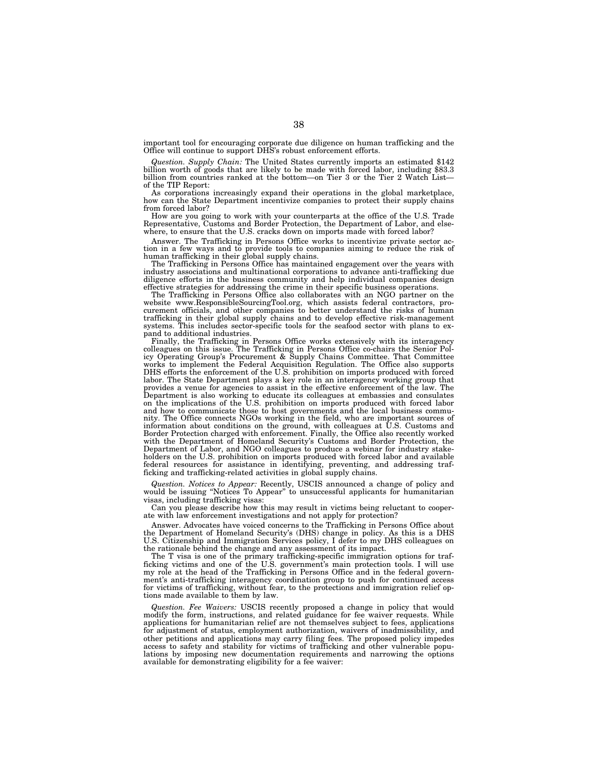important tool for encouraging corporate due diligence on human trafficking and the Office will continue to support DHS's robust enforcement efforts.

Question. Supply Chain: The United States currently imports an estimated \$142 billion worth of goods that are likely to be made with forced labor, including \$83.3 billion from countries ranked at the bottom—on Tier 3 or th of the TIP Report:

As corporations increasingly expand their operations in the global marketplace, how can the State Department incentivize companies to protect their supply chains from forced labor?

How are you going to work with your counterparts at the office of the U.S. Trade Representative, Customs and Border Protection, the Department of Labor, and elsewhere, to ensure that the U.S. cracks down on imports made with forced labor?

Answer. The Trafficking in Persons Office works to incentivize private sector action in a few ways and to provide tools to companies aiming to reduce the risk of human trafficking in their global supply chains.

The Trafficking in Persons Office has maintained engagement over the years with industry associations and multinational corporations to advance anti-trafficking due diligence efforts in the business community and help individual companies design effective strategies for addressing the crime in their specific business operations.

The Trafficking in Persons Office also collaborates with an NGO partner on the website www.ResponsibleSourcingTool.org, which assists federal contractors, procurement officials, and other companies to better understand the risks of human trafficking in their global supply chains and to develop effective risk-management systems. This includes sector-specific tools for the seafood sector with plans to expand to additional industries.

Finally, the Trafficking in Persons Office works extensively with its interagency colleagues on this issue. The Trafficking in Persons Office co-chairs the Senior Policy Operating Group's Procurement & Supply Chains Committee. That Committee works to implement the Federal Acquisition Regulation. The Office also supports DHS efforts the enforcement of the U.S. prohibition on imports produced with forced labor. The State Department plays a key role in an interagency working group that provides a venue for agencies to assist in the effective enforcement of the law. The<br>Department is also working to educate its colleagues at embassies and consulates<br>on the implications of the U.S. prohibition on imports p nity. The Office connects NGOs working in the field, who are important sources of information about conditions on the ground, with colleagues at U.S. Customs and Border Protection charged with enforcement. Finally, the Office also recently worked with the Department of Homeland Security's Customs and Border Protection, the Department of Labor, and NGO colleagues to produce a webinar for industry stakeholders on the U.S. prohibition on imports produced with forced labor and available federal resources for assistance in identifying, preventing, and addressing trafficking and trafficking-related activities in global supply chains.

*Question. Notices to Appear:* Recently, USCIS announced a change of policy and would be issuing ''Notices To Appear'' to unsuccessful applicants for humanitarian visas, including trafficking visas:

Can you please describe how this may result in victims being reluctant to cooperate with law enforcement investigations and not apply for protection?

Answer. Advocates have voiced concerns to the Trafficking in Persons Office about the Department of Homeland Security's (DHS) change in policy. As this is a DHS U.S. Citizenship and Immigration Services policy, I defer to my DHS colleagues on the rationale behind the change and any assessment of its impact.

The T visa is one of the primary trafficking-specific immigration options for trafficking victims and one of the U.S. government's main protection tools. I will use my role at the head of the Trafficking in Persons Office and in the federal government's anti-trafficking interagency coordination group to push for continued access for victims of trafficking, without fear, to the protections and immigration relief options made available to them by law.

*Question. Fee Waivers:* USCIS recently proposed a change in policy that would modify the form, instructions, and related guidance for fee waiver requests. While applications for humanitarian relief are not themselves subject to fees, applications for adjustment of status, employment authorization, waivers of inadmissibility, and other petitions and applications may carry filing fees. The proposed policy impedes access to safety and stability for victims of trafficking and other vulnerable populations by imposing new documentation requirements and narrowing the options available for demonstrating eligibility for a fee waiver: